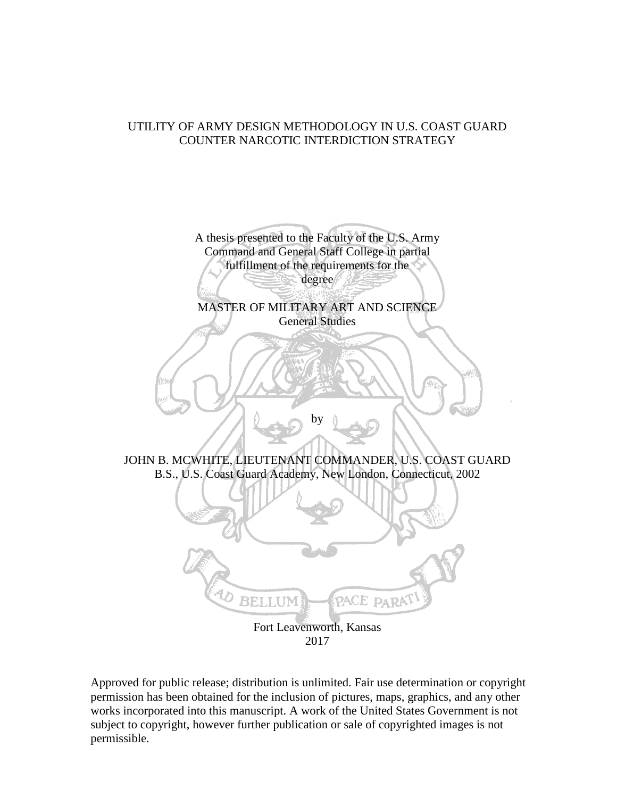## UTILITY OF ARMY DESIGN METHODOLOGY IN U.S. COAST GUARD COUNTER NARCOTIC INTERDICTION STRATEGY



Approved for public release; distribution is unlimited. Fair use determination or copyright permission has been obtained for the inclusion of pictures, maps, graphics, and any other works incorporated into this manuscript. A work of the United States Government is not subject to copyright, however further publication or sale of copyrighted images is not permissible.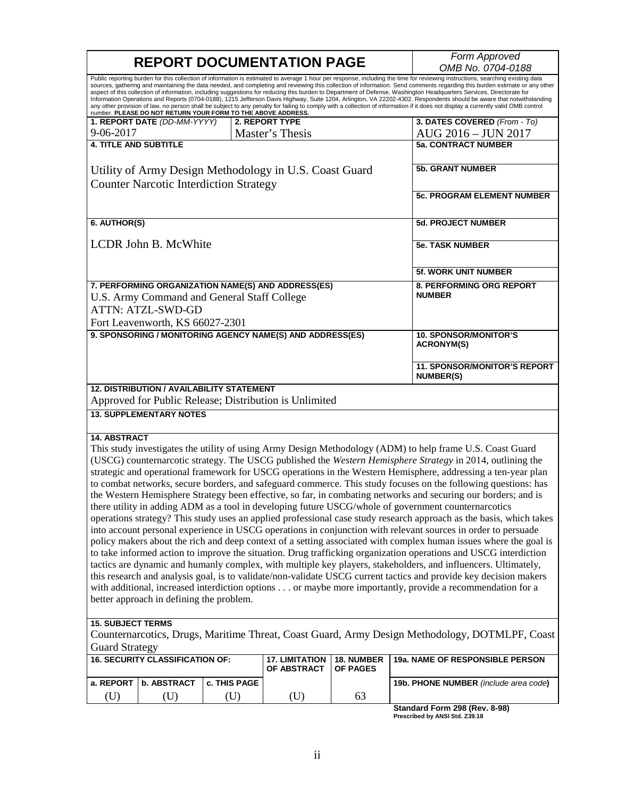|                                                                                                                                                                                                                                                                                                                                                                                                                                                                                                                                                                                                                                                                                                                                                                                                                                                                                                                                                                   | <b>REPORT DOCUMENTATION PAGE</b>                                                                               | Form Approved       |                                                        |                        |                                                                                                            |  |  |
|-------------------------------------------------------------------------------------------------------------------------------------------------------------------------------------------------------------------------------------------------------------------------------------------------------------------------------------------------------------------------------------------------------------------------------------------------------------------------------------------------------------------------------------------------------------------------------------------------------------------------------------------------------------------------------------------------------------------------------------------------------------------------------------------------------------------------------------------------------------------------------------------------------------------------------------------------------------------|----------------------------------------------------------------------------------------------------------------|---------------------|--------------------------------------------------------|------------------------|------------------------------------------------------------------------------------------------------------|--|--|
|                                                                                                                                                                                                                                                                                                                                                                                                                                                                                                                                                                                                                                                                                                                                                                                                                                                                                                                                                                   |                                                                                                                | OMB No. 0704-0188   |                                                        |                        |                                                                                                            |  |  |
| Public reporting burden for this collection of information is estimated to average 1 hour per response, including the time for reviewing instructions, searching existing data<br>sources, gathering and maintaining the data needed, and completing and reviewing this collection of information. Send comments regarding this burden estimate or any other<br>aspect of this collection of information, including suggestions for reducing this burden to Department of Defense, Washington Headquarters Services, Directorate for<br>Information Operations and Reports (0704-0188), 1215 Jefferson Davis Highway, Suite 1204, Arlington, VA 22202-4302. Respondents should be aware that notwithstanding<br>any other provision of law, no person shall be subject to any penalty for failing to comply with a collection of information if it does not display a currently valid OMB control<br>number. PLEASE DO NOT RETURN YOUR FORM TO THE ABOVE ADDRESS. |                                                                                                                |                     |                                                        |                        |                                                                                                            |  |  |
|                                                                                                                                                                                                                                                                                                                                                                                                                                                                                                                                                                                                                                                                                                                                                                                                                                                                                                                                                                   | 1. REPORT DATE (DD-MM-YYYY)                                                                                    |                     | 2. REPORT TYPE                                         |                        | 3. DATES COVERED (From - To)                                                                               |  |  |
| 9-06-2017                                                                                                                                                                                                                                                                                                                                                                                                                                                                                                                                                                                                                                                                                                                                                                                                                                                                                                                                                         |                                                                                                                |                     | Master's Thesis                                        |                        | AUG 2016 - JUN 2017                                                                                        |  |  |
| <b>4. TITLE AND SUBTITLE</b>                                                                                                                                                                                                                                                                                                                                                                                                                                                                                                                                                                                                                                                                                                                                                                                                                                                                                                                                      |                                                                                                                |                     |                                                        |                        | <b>5a. CONTRACT NUMBER</b>                                                                                 |  |  |
|                                                                                                                                                                                                                                                                                                                                                                                                                                                                                                                                                                                                                                                                                                                                                                                                                                                                                                                                                                   |                                                                                                                |                     |                                                        |                        |                                                                                                            |  |  |
| Utility of Army Design Methodology in U.S. Coast Guard                                                                                                                                                                                                                                                                                                                                                                                                                                                                                                                                                                                                                                                                                                                                                                                                                                                                                                            |                                                                                                                |                     |                                                        |                        | <b>5b. GRANT NUMBER</b>                                                                                    |  |  |
| <b>Counter Narcotic Interdiction Strategy</b>                                                                                                                                                                                                                                                                                                                                                                                                                                                                                                                                                                                                                                                                                                                                                                                                                                                                                                                     |                                                                                                                |                     |                                                        |                        | <b>5c. PROGRAM ELEMENT NUMBER</b>                                                                          |  |  |
|                                                                                                                                                                                                                                                                                                                                                                                                                                                                                                                                                                                                                                                                                                                                                                                                                                                                                                                                                                   |                                                                                                                |                     |                                                        |                        |                                                                                                            |  |  |
| 6. AUTHOR(S)                                                                                                                                                                                                                                                                                                                                                                                                                                                                                                                                                                                                                                                                                                                                                                                                                                                                                                                                                      |                                                                                                                |                     |                                                        |                        | <b>5d. PROJECT NUMBER</b>                                                                                  |  |  |
| LCDR John B. McWhite                                                                                                                                                                                                                                                                                                                                                                                                                                                                                                                                                                                                                                                                                                                                                                                                                                                                                                                                              |                                                                                                                |                     |                                                        |                        | <b>5e. TASK NUMBER</b>                                                                                     |  |  |
|                                                                                                                                                                                                                                                                                                                                                                                                                                                                                                                                                                                                                                                                                                                                                                                                                                                                                                                                                                   |                                                                                                                |                     |                                                        |                        | 5f. WORK UNIT NUMBER                                                                                       |  |  |
|                                                                                                                                                                                                                                                                                                                                                                                                                                                                                                                                                                                                                                                                                                                                                                                                                                                                                                                                                                   |                                                                                                                |                     | 7. PERFORMING ORGANIZATION NAME(S) AND ADDRESS(ES)     |                        | 8. PERFORMING ORG REPORT                                                                                   |  |  |
|                                                                                                                                                                                                                                                                                                                                                                                                                                                                                                                                                                                                                                                                                                                                                                                                                                                                                                                                                                   | U.S. Army Command and General Staff College                                                                    |                     |                                                        |                        | <b>NUMBER</b>                                                                                              |  |  |
|                                                                                                                                                                                                                                                                                                                                                                                                                                                                                                                                                                                                                                                                                                                                                                                                                                                                                                                                                                   | <b>ATTN: ATZL-SWD-GD</b>                                                                                       |                     |                                                        |                        |                                                                                                            |  |  |
|                                                                                                                                                                                                                                                                                                                                                                                                                                                                                                                                                                                                                                                                                                                                                                                                                                                                                                                                                                   | Fort Leavenworth, KS 66027-2301                                                                                |                     |                                                        |                        |                                                                                                            |  |  |
| 9. SPONSORING / MONITORING AGENCY NAME(S) AND ADDRESS(ES)                                                                                                                                                                                                                                                                                                                                                                                                                                                                                                                                                                                                                                                                                                                                                                                                                                                                                                         |                                                                                                                |                     |                                                        |                        | <b>10. SPONSOR/MONITOR'S</b><br><b>ACRONYM(S)</b>                                                          |  |  |
|                                                                                                                                                                                                                                                                                                                                                                                                                                                                                                                                                                                                                                                                                                                                                                                                                                                                                                                                                                   |                                                                                                                |                     |                                                        |                        | 11. SPONSOR/MONITOR'S REPORT<br><b>NUMBER(S)</b>                                                           |  |  |
|                                                                                                                                                                                                                                                                                                                                                                                                                                                                                                                                                                                                                                                                                                                                                                                                                                                                                                                                                                   | <b>12. DISTRIBUTION / AVAILABILITY STATEMENT</b>                                                               |                     | Approved for Public Release; Distribution is Unlimited |                        |                                                                                                            |  |  |
|                                                                                                                                                                                                                                                                                                                                                                                                                                                                                                                                                                                                                                                                                                                                                                                                                                                                                                                                                                   | <b>13. SUPPLEMENTARY NOTES</b>                                                                                 |                     |                                                        |                        |                                                                                                            |  |  |
|                                                                                                                                                                                                                                                                                                                                                                                                                                                                                                                                                                                                                                                                                                                                                                                                                                                                                                                                                                   |                                                                                                                |                     |                                                        |                        |                                                                                                            |  |  |
| <b>14. ABSTRACT</b>                                                                                                                                                                                                                                                                                                                                                                                                                                                                                                                                                                                                                                                                                                                                                                                                                                                                                                                                               |                                                                                                                |                     |                                                        |                        |                                                                                                            |  |  |
|                                                                                                                                                                                                                                                                                                                                                                                                                                                                                                                                                                                                                                                                                                                                                                                                                                                                                                                                                                   |                                                                                                                |                     |                                                        |                        | This study investigates the utility of using Army Design Methodology (ADM) to help frame U.S. Coast Guard  |  |  |
|                                                                                                                                                                                                                                                                                                                                                                                                                                                                                                                                                                                                                                                                                                                                                                                                                                                                                                                                                                   |                                                                                                                |                     |                                                        |                        | (USCG) counternarcotic strategy. The USCG published the Western Hemisphere Strategy in 2014, outlining the |  |  |
| strategic and operational framework for USCG operations in the Western Hemisphere, addressing a ten-year plan                                                                                                                                                                                                                                                                                                                                                                                                                                                                                                                                                                                                                                                                                                                                                                                                                                                     |                                                                                                                |                     |                                                        |                        |                                                                                                            |  |  |
|                                                                                                                                                                                                                                                                                                                                                                                                                                                                                                                                                                                                                                                                                                                                                                                                                                                                                                                                                                   | to combat networks, secure borders, and safeguard commerce. This study focuses on the following questions: has |                     |                                                        |                        |                                                                                                            |  |  |
| the Western Hemisphere Strategy been effective, so far, in combating networks and securing our borders; and is                                                                                                                                                                                                                                                                                                                                                                                                                                                                                                                                                                                                                                                                                                                                                                                                                                                    |                                                                                                                |                     |                                                        |                        |                                                                                                            |  |  |
| there utility in adding ADM as a tool in developing future USCG/whole of government counternarcotics                                                                                                                                                                                                                                                                                                                                                                                                                                                                                                                                                                                                                                                                                                                                                                                                                                                              |                                                                                                                |                     |                                                        |                        |                                                                                                            |  |  |
| operations strategy? This study uses an applied professional case study research approach as the basis, which takes                                                                                                                                                                                                                                                                                                                                                                                                                                                                                                                                                                                                                                                                                                                                                                                                                                               |                                                                                                                |                     |                                                        |                        |                                                                                                            |  |  |
| into account personal experience in USCG operations in conjunction with relevant sources in order to persuade                                                                                                                                                                                                                                                                                                                                                                                                                                                                                                                                                                                                                                                                                                                                                                                                                                                     |                                                                                                                |                     |                                                        |                        |                                                                                                            |  |  |
| policy makers about the rich and deep context of a setting associated with complex human issues where the goal is                                                                                                                                                                                                                                                                                                                                                                                                                                                                                                                                                                                                                                                                                                                                                                                                                                                 |                                                                                                                |                     |                                                        |                        |                                                                                                            |  |  |
| to take informed action to improve the situation. Drug trafficking organization operations and USCG interdiction<br>tactics are dynamic and humanly complex, with multiple key players, stakeholders, and influencers. Ultimately,                                                                                                                                                                                                                                                                                                                                                                                                                                                                                                                                                                                                                                                                                                                                |                                                                                                                |                     |                                                        |                        |                                                                                                            |  |  |
| this research and analysis goal, is to validate/non-validate USCG current tactics and provide key decision makers                                                                                                                                                                                                                                                                                                                                                                                                                                                                                                                                                                                                                                                                                                                                                                                                                                                 |                                                                                                                |                     |                                                        |                        |                                                                                                            |  |  |
| with additional, increased interdiction options or maybe more importantly, provide a recommendation for a                                                                                                                                                                                                                                                                                                                                                                                                                                                                                                                                                                                                                                                                                                                                                                                                                                                         |                                                                                                                |                     |                                                        |                        |                                                                                                            |  |  |
| better approach in defining the problem.                                                                                                                                                                                                                                                                                                                                                                                                                                                                                                                                                                                                                                                                                                                                                                                                                                                                                                                          |                                                                                                                |                     |                                                        |                        |                                                                                                            |  |  |
| <b>15. SUBJECT TERMS</b>                                                                                                                                                                                                                                                                                                                                                                                                                                                                                                                                                                                                                                                                                                                                                                                                                                                                                                                                          |                                                                                                                |                     |                                                        |                        |                                                                                                            |  |  |
| Counternarcotics, Drugs, Maritime Threat, Coast Guard, Army Design Methodology, DOTMLPF, Coast                                                                                                                                                                                                                                                                                                                                                                                                                                                                                                                                                                                                                                                                                                                                                                                                                                                                    |                                                                                                                |                     |                                                        |                        |                                                                                                            |  |  |
| <b>Guard Strategy</b>                                                                                                                                                                                                                                                                                                                                                                                                                                                                                                                                                                                                                                                                                                                                                                                                                                                                                                                                             |                                                                                                                |                     |                                                        |                        |                                                                                                            |  |  |
|                                                                                                                                                                                                                                                                                                                                                                                                                                                                                                                                                                                                                                                                                                                                                                                                                                                                                                                                                                   | <b>16. SECURITY CLASSIFICATION OF:</b>                                                                         |                     | <b>17. LIMITATION</b><br>OF ABSTRACT                   | 18. NUMBER<br>OF PAGES | 19a. NAME OF RESPONSIBLE PERSON                                                                            |  |  |
| a. REPORT                                                                                                                                                                                                                                                                                                                                                                                                                                                                                                                                                                                                                                                                                                                                                                                                                                                                                                                                                         | b. ABSTRACT                                                                                                    | <b>c. THIS PAGE</b> |                                                        |                        | 19b. PHONE NUMBER (include area code)                                                                      |  |  |
| (T <sub>D</sub> )                                                                                                                                                                                                                                                                                                                                                                                                                                                                                                                                                                                                                                                                                                                                                                                                                                                                                                                                                 | (T <sub>D</sub> )                                                                                              | (T <sub>D</sub> )   | ÆΒ                                                     | 63                     |                                                                                                            |  |  |

**Standard Form 298 (Rev. 8-98) Prescribed by ANSI Std. Z39.18**

٦

(U) (U) (U) (U) 63

r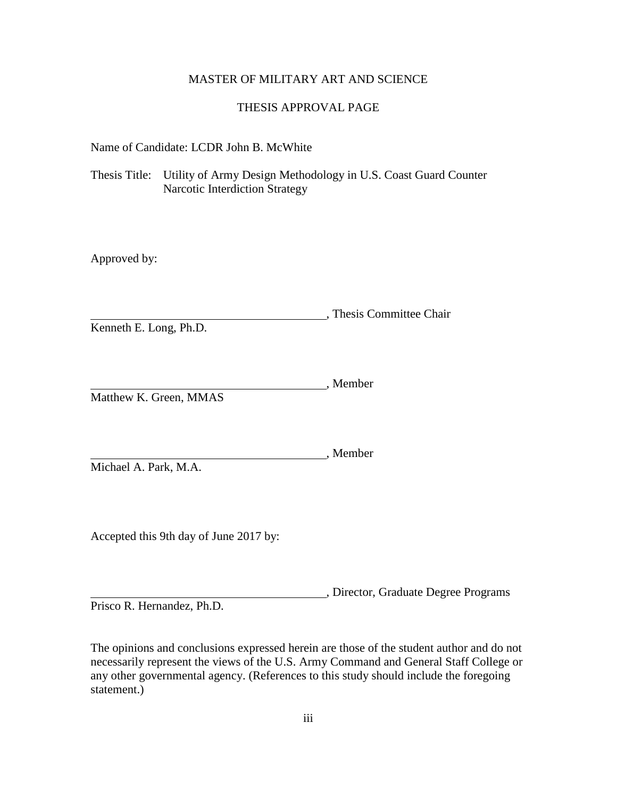## MASTER OF MILITARY ART AND SCIENCE

## THESIS APPROVAL PAGE

Name of Candidate: LCDR John B. McWhite

Thesis Title: Utility of Army Design Methodology in U.S. Coast Guard Counter Narcotic Interdiction Strategy

Approved by:

, Thesis Committee Chair Kenneth E. Long, Ph.D.

Member Matthew K. Green, MMAS

Michael A. Park, M.A.

statement.)

Accepted this 9th day of June 2017 by:

, Director, Graduate Degree Programs Prisco R. Hernandez, Ph.D.

, Member

The opinions and conclusions expressed herein are those of the student author and do not necessarily represent the views of the U.S. Army Command and General Staff College or any other governmental agency. (References to this study should include the foregoing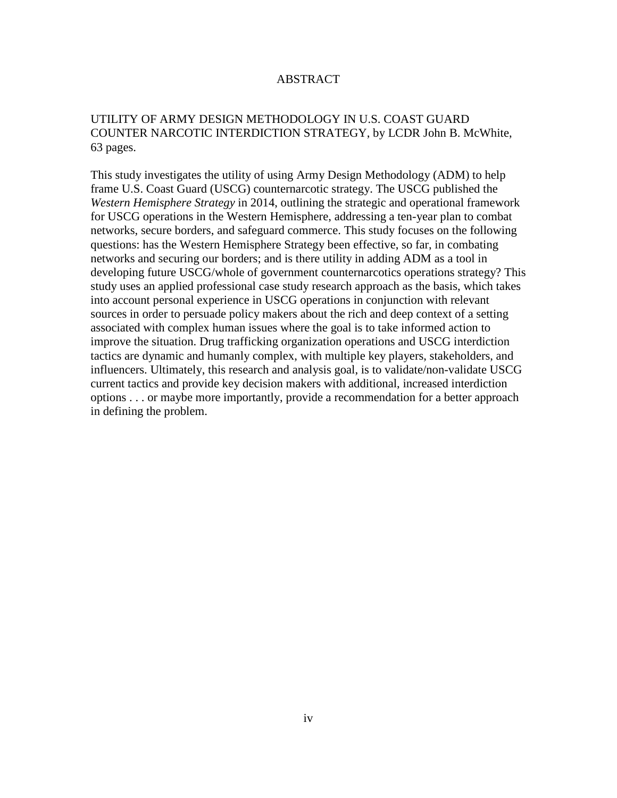## ABSTRACT

## UTILITY OF ARMY DESIGN METHODOLOGY IN U.S. COAST GUARD COUNTER NARCOTIC INTERDICTION STRATEGY, by LCDR John B. McWhite, 63 pages.

This study investigates the utility of using Army Design Methodology (ADM) to help frame U.S. Coast Guard (USCG) counternarcotic strategy. The USCG published the *Western Hemisphere Strategy* in 2014, outlining the strategic and operational framework for USCG operations in the Western Hemisphere, addressing a ten-year plan to combat networks, secure borders, and safeguard commerce. This study focuses on the following questions: has the Western Hemisphere Strategy been effective, so far, in combating networks and securing our borders; and is there utility in adding ADM as a tool in developing future USCG/whole of government counternarcotics operations strategy? This study uses an applied professional case study research approach as the basis, which takes into account personal experience in USCG operations in conjunction with relevant sources in order to persuade policy makers about the rich and deep context of a setting associated with complex human issues where the goal is to take informed action to improve the situation. Drug trafficking organization operations and USCG interdiction tactics are dynamic and humanly complex, with multiple key players, stakeholders, and influencers. Ultimately, this research and analysis goal, is to validate/non-validate USCG current tactics and provide key decision makers with additional, increased interdiction options . . . or maybe more importantly, provide a recommendation for a better approach in defining the problem.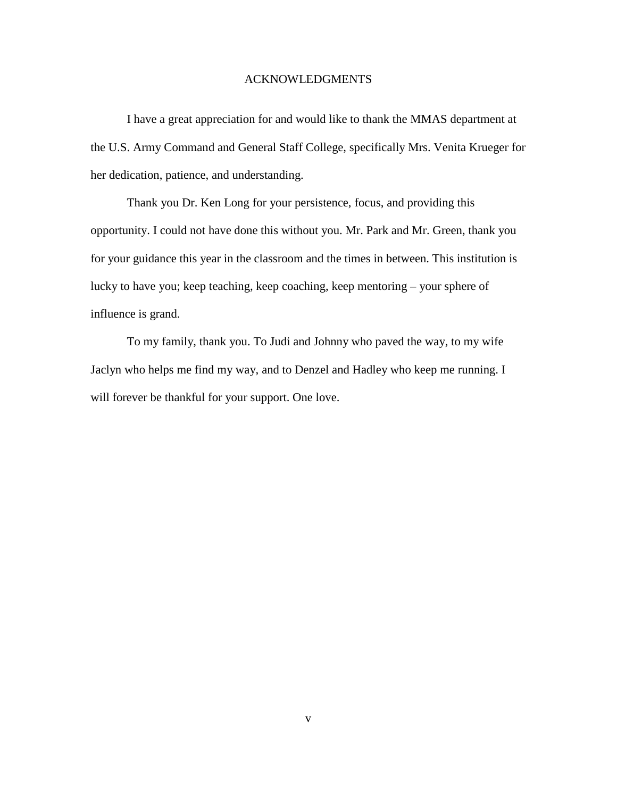## ACKNOWLEDGMENTS

I have a great appreciation for and would like to thank the MMAS department at the U.S. Army Command and General Staff College, specifically Mrs. Venita Krueger for her dedication, patience, and understanding.

Thank you Dr. Ken Long for your persistence, focus, and providing this opportunity. I could not have done this without you. Mr. Park and Mr. Green, thank you for your guidance this year in the classroom and the times in between. This institution is lucky to have you; keep teaching, keep coaching, keep mentoring – your sphere of influence is grand.

To my family, thank you. To Judi and Johnny who paved the way, to my wife Jaclyn who helps me find my way, and to Denzel and Hadley who keep me running. I will forever be thankful for your support. One love.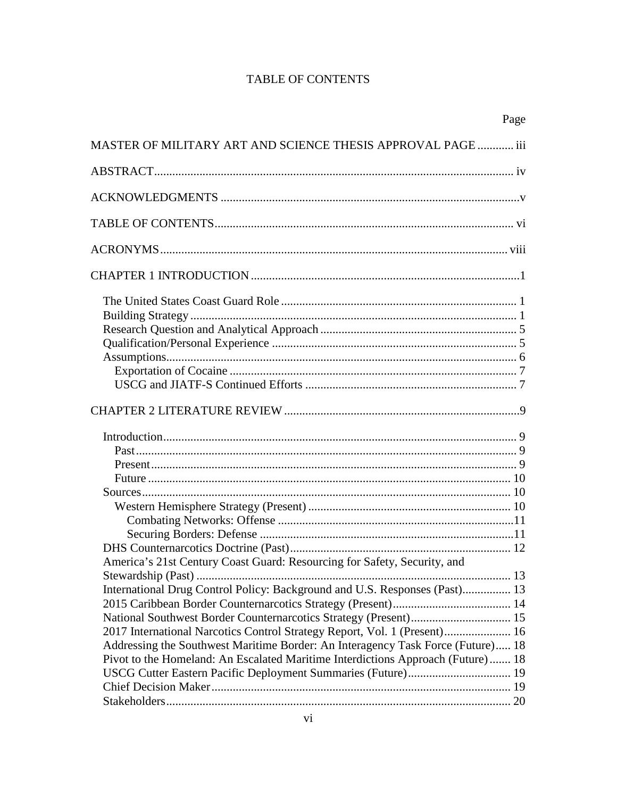# **TABLE OF CONTENTS**

|                                                                                                                                                                                                                                                                                                                                                                                                                                                                               | Page |
|-------------------------------------------------------------------------------------------------------------------------------------------------------------------------------------------------------------------------------------------------------------------------------------------------------------------------------------------------------------------------------------------------------------------------------------------------------------------------------|------|
| MASTER OF MILITARY ART AND SCIENCE THESIS APPROVAL PAGE  iii                                                                                                                                                                                                                                                                                                                                                                                                                  |      |
|                                                                                                                                                                                                                                                                                                                                                                                                                                                                               |      |
|                                                                                                                                                                                                                                                                                                                                                                                                                                                                               |      |
|                                                                                                                                                                                                                                                                                                                                                                                                                                                                               |      |
|                                                                                                                                                                                                                                                                                                                                                                                                                                                                               |      |
|                                                                                                                                                                                                                                                                                                                                                                                                                                                                               |      |
|                                                                                                                                                                                                                                                                                                                                                                                                                                                                               |      |
|                                                                                                                                                                                                                                                                                                                                                                                                                                                                               |      |
|                                                                                                                                                                                                                                                                                                                                                                                                                                                                               |      |
| America's 21st Century Coast Guard: Resourcing for Safety, Security, and<br>International Drug Control Policy: Background and U.S. Responses (Past) 13<br>National Southwest Border Counternarcotics Strategy (Present) 15<br>2017 International Narcotics Control Strategy Report, Vol. 1 (Present) 16<br>Addressing the Southwest Maritime Border: An Interagency Task Force (Future) 18<br>Pivot to the Homeland: An Escalated Maritime Interdictions Approach (Future) 18 |      |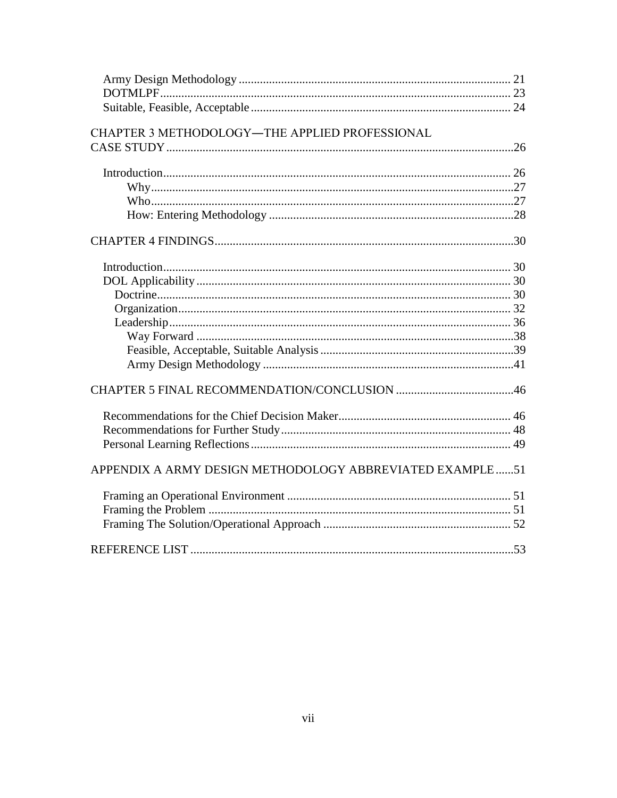| CHAPTER 3 METHODOLOGY-THE APPLIED PROFESSIONAL           |     |
|----------------------------------------------------------|-----|
|                                                          |     |
|                                                          |     |
|                                                          |     |
|                                                          |     |
|                                                          |     |
|                                                          |     |
|                                                          |     |
|                                                          |     |
|                                                          |     |
|                                                          |     |
|                                                          |     |
|                                                          |     |
|                                                          |     |
|                                                          |     |
|                                                          |     |
|                                                          |     |
|                                                          |     |
|                                                          |     |
| APPENDIX A ARMY DESIGN METHODOLOGY ABBREVIATED EXAMPLE51 |     |
|                                                          |     |
|                                                          |     |
|                                                          |     |
| REFERENCE LIST                                           | .53 |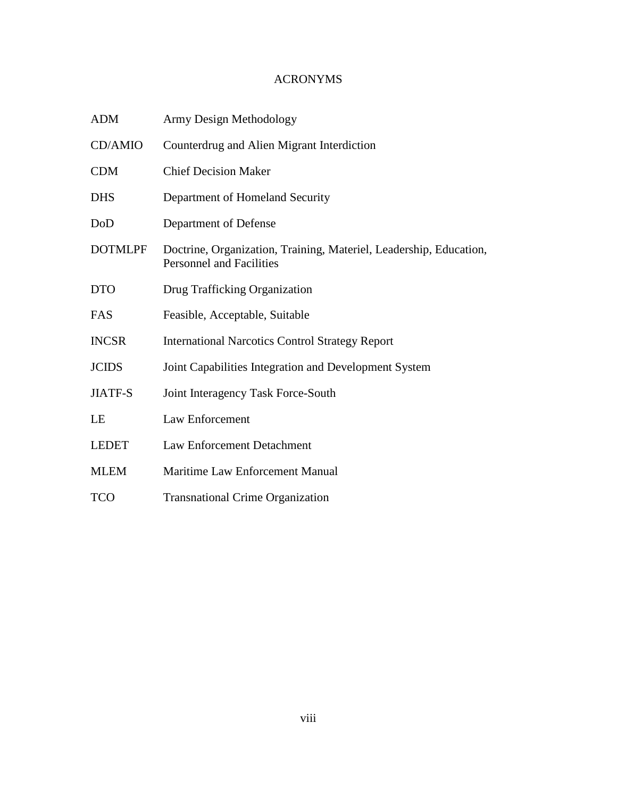# ACRONYMS

| <b>ADM</b>     | Army Design Methodology                                                                               |
|----------------|-------------------------------------------------------------------------------------------------------|
| CD/AMIO        | Counterdrug and Alien Migrant Interdiction                                                            |
| <b>CDM</b>     | <b>Chief Decision Maker</b>                                                                           |
| <b>DHS</b>     | Department of Homeland Security                                                                       |
| DoD            | Department of Defense                                                                                 |
| <b>DOTMLPF</b> | Doctrine, Organization, Training, Materiel, Leadership, Education,<br><b>Personnel and Facilities</b> |
| <b>DTO</b>     | Drug Trafficking Organization                                                                         |
| FAS            | Feasible, Acceptable, Suitable                                                                        |
| <b>INCSR</b>   | <b>International Narcotics Control Strategy Report</b>                                                |
| <b>JCIDS</b>   | Joint Capabilities Integration and Development System                                                 |
| <b>JIATF-S</b> | Joint Interagency Task Force-South                                                                    |
| LE             | Law Enforcement                                                                                       |
| <b>LEDET</b>   | <b>Law Enforcement Detachment</b>                                                                     |
| <b>MLEM</b>    | Maritime Law Enforcement Manual                                                                       |
| <b>TCO</b>     | <b>Transnational Crime Organization</b>                                                               |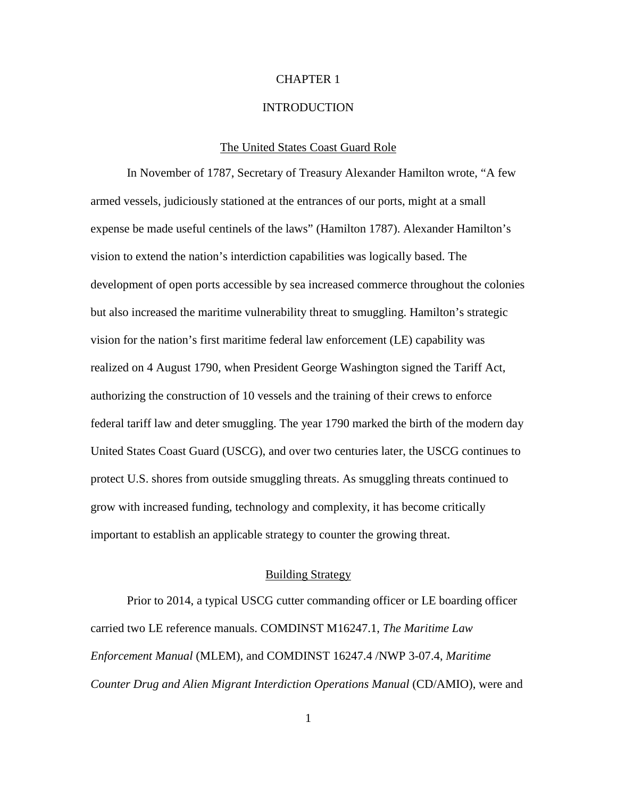## CHAPTER 1

#### **INTRODUCTION**

#### The United States Coast Guard Role

In November of 1787, Secretary of Treasury Alexander Hamilton wrote, "A few armed vessels, judiciously stationed at the entrances of our ports, might at a small expense be made useful centinels of the laws" (Hamilton 1787). Alexander Hamilton's vision to extend the nation's interdiction capabilities was logically based. The development of open ports accessible by sea increased commerce throughout the colonies but also increased the maritime vulnerability threat to smuggling. Hamilton's strategic vision for the nation's first maritime federal law enforcement (LE) capability was realized on 4 August 1790, when President George Washington signed the Tariff Act, authorizing the construction of 10 vessels and the training of their crews to enforce federal tariff law and deter smuggling. The year 1790 marked the birth of the modern day United States Coast Guard (USCG), and over two centuries later, the USCG continues to protect U.S. shores from outside smuggling threats. As smuggling threats continued to grow with increased funding, technology and complexity, it has become critically important to establish an applicable strategy to counter the growing threat.

#### Building Strategy

Prior to 2014, a typical USCG cutter commanding officer or LE boarding officer carried two LE reference manuals. COMDINST M16247.1, *The Maritime Law Enforcement Manual* (MLEM), and COMDINST 16247.4 /NWP 3-07.4, *Maritime Counter Drug and Alien Migrant Interdiction Operations Manual* (CD/AMIO), were and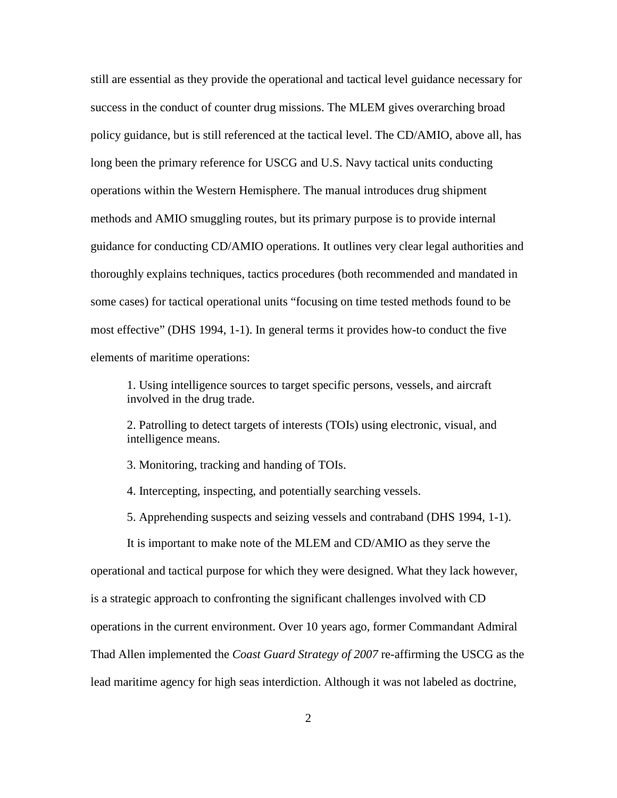still are essential as they provide the operational and tactical level guidance necessary for success in the conduct of counter drug missions. The MLEM gives overarching broad policy guidance, but is still referenced at the tactical level. The CD/AMIO, above all, has long been the primary reference for USCG and U.S. Navy tactical units conducting operations within the Western Hemisphere. The manual introduces drug shipment methods and AMIO smuggling routes, but its primary purpose is to provide internal guidance for conducting CD/AMIO operations. It outlines very clear legal authorities and thoroughly explains techniques, tactics procedures (both recommended and mandated in some cases) for tactical operational units "focusing on time tested methods found to be most effective" (DHS 1994, 1-1). In general terms it provides how-to conduct the five elements of maritime operations:

1. Using intelligence sources to target specific persons, vessels, and aircraft involved in the drug trade.

2. Patrolling to detect targets of interests (TOIs) using electronic, visual, and intelligence means.

3. Monitoring, tracking and handing of TOIs.

- 4. Intercepting, inspecting, and potentially searching vessels.
- 5. Apprehending suspects and seizing vessels and contraband (DHS 1994, 1-1).

It is important to make note of the MLEM and CD/AMIO as they serve the operational and tactical purpose for which they were designed. What they lack however, is a strategic approach to confronting the significant challenges involved with CD operations in the current environment. Over 10 years ago, former Commandant Admiral Thad Allen implemented the *Coast Guard Strategy of 2007* re-affirming the USCG as the lead maritime agency for high seas interdiction. Although it was not labeled as doctrine,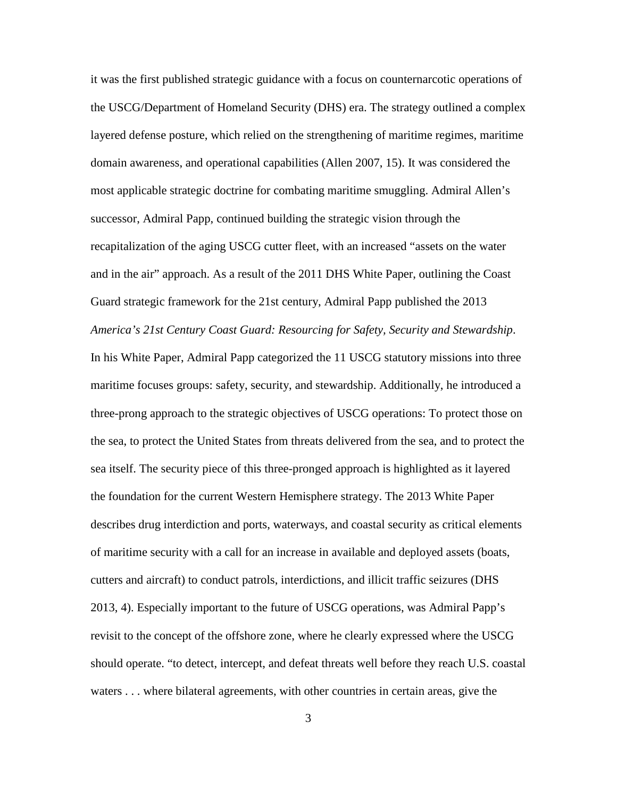it was the first published strategic guidance with a focus on counternarcotic operations of the USCG/Department of Homeland Security (DHS) era. The strategy outlined a complex layered defense posture, which relied on the strengthening of maritime regimes, maritime domain awareness, and operational capabilities (Allen 2007, 15). It was considered the most applicable strategic doctrine for combating maritime smuggling. Admiral Allen's successor, Admiral Papp, continued building the strategic vision through the recapitalization of the aging USCG cutter fleet, with an increased "assets on the water and in the air" approach. As a result of the 2011 DHS White Paper, outlining the Coast Guard strategic framework for the 21st century, Admiral Papp published the 2013 *America's 21st Century Coast Guard: Resourcing for Safety, Security and Stewardship*. In his White Paper, Admiral Papp categorized the 11 USCG statutory missions into three maritime focuses groups: safety, security, and stewardship. Additionally, he introduced a three-prong approach to the strategic objectives of USCG operations: To protect those on the sea, to protect the United States from threats delivered from the sea, and to protect the sea itself. The security piece of this three-pronged approach is highlighted as it layered the foundation for the current Western Hemisphere strategy. The 2013 White Paper describes drug interdiction and ports, waterways, and coastal security as critical elements of maritime security with a call for an increase in available and deployed assets (boats, cutters and aircraft) to conduct patrols, interdictions, and illicit traffic seizures (DHS 2013, 4). Especially important to the future of USCG operations, was Admiral Papp's revisit to the concept of the offshore zone, where he clearly expressed where the USCG should operate. "to detect, intercept, and defeat threats well before they reach U.S. coastal waters . . . where bilateral agreements, with other countries in certain areas, give the

3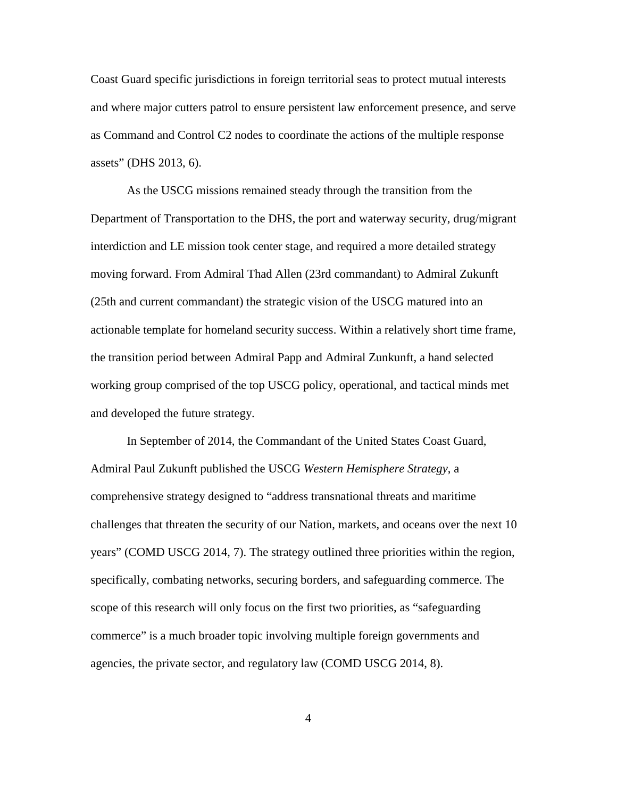Coast Guard specific jurisdictions in foreign territorial seas to protect mutual interests and where major cutters patrol to ensure persistent law enforcement presence, and serve as Command and Control C2 nodes to coordinate the actions of the multiple response assets" (DHS 2013, 6).

As the USCG missions remained steady through the transition from the Department of Transportation to the DHS, the port and waterway security, drug/migrant interdiction and LE mission took center stage, and required a more detailed strategy moving forward. From Admiral Thad Allen (23rd commandant) to Admiral Zukunft (25th and current commandant) the strategic vision of the USCG matured into an actionable template for homeland security success. Within a relatively short time frame, the transition period between Admiral Papp and Admiral Zunkunft, a hand selected working group comprised of the top USCG policy, operational, and tactical minds met and developed the future strategy.

In September of 2014, the Commandant of the United States Coast Guard, Admiral Paul Zukunft published the USCG *Western Hemisphere Strategy*, a comprehensive strategy designed to "address transnational threats and maritime challenges that threaten the security of our Nation, markets, and oceans over the next 10 years" (COMD USCG 2014, 7). The strategy outlined three priorities within the region, specifically, combating networks, securing borders, and safeguarding commerce. The scope of this research will only focus on the first two priorities, as "safeguarding commerce" is a much broader topic involving multiple foreign governments and agencies, the private sector, and regulatory law (COMD USCG 2014, 8).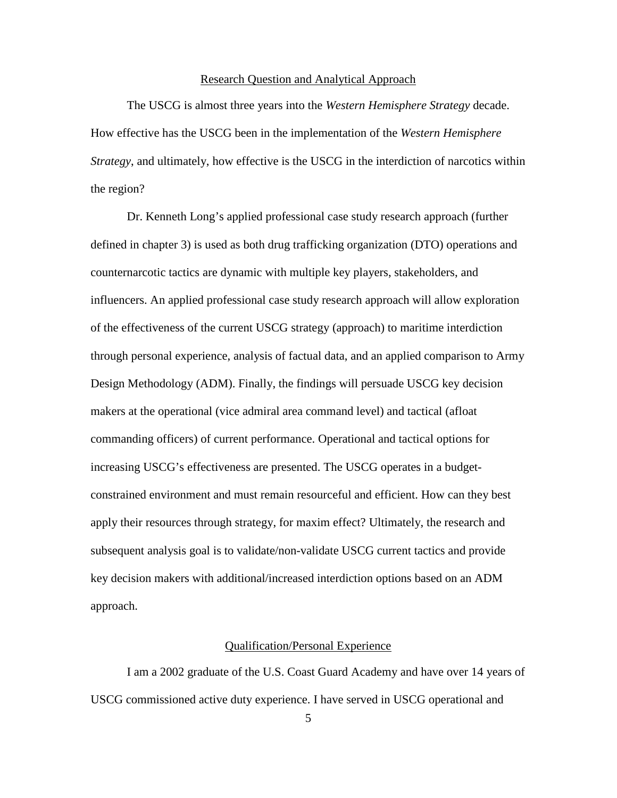#### Research Question and Analytical Approach

The USCG is almost three years into the *Western Hemisphere Strategy* decade. How effective has the USCG been in the implementation of the *Western Hemisphere Strategy*, and ultimately, how effective is the USCG in the interdiction of narcotics within the region?

Dr. Kenneth Long's applied professional case study research approach (further defined in chapter 3) is used as both drug trafficking organization (DTO) operations and counternarcotic tactics are dynamic with multiple key players, stakeholders, and influencers. An applied professional case study research approach will allow exploration of the effectiveness of the current USCG strategy (approach) to maritime interdiction through personal experience, analysis of factual data, and an applied comparison to Army Design Methodology (ADM). Finally, the findings will persuade USCG key decision makers at the operational (vice admiral area command level) and tactical (afloat commanding officers) of current performance. Operational and tactical options for increasing USCG's effectiveness are presented. The USCG operates in a budgetconstrained environment and must remain resourceful and efficient. How can they best apply their resources through strategy, for maxim effect? Ultimately, the research and subsequent analysis goal is to validate/non-validate USCG current tactics and provide key decision makers with additional/increased interdiction options based on an ADM approach.

## Qualification/Personal Experience

I am a 2002 graduate of the U.S. Coast Guard Academy and have over 14 years of USCG commissioned active duty experience. I have served in USCG operational and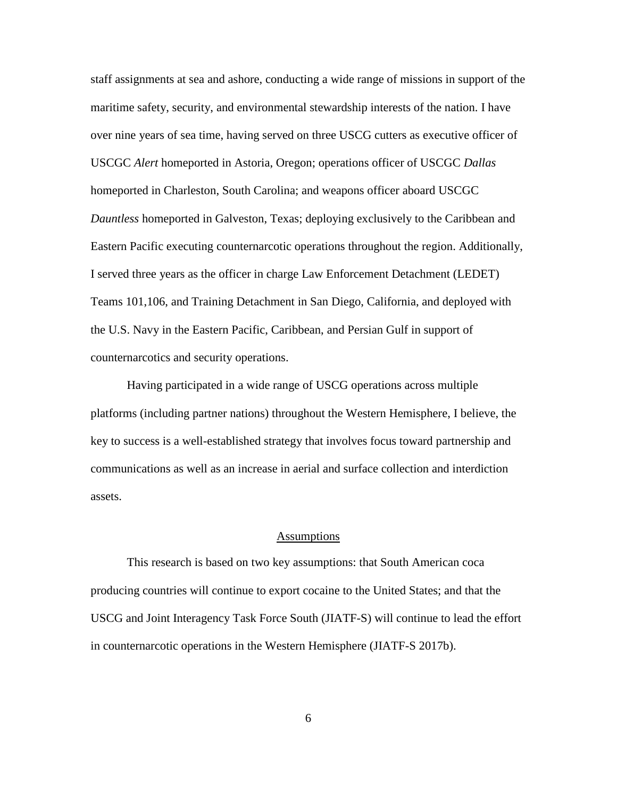staff assignments at sea and ashore, conducting a wide range of missions in support of the maritime safety, security, and environmental stewardship interests of the nation. I have over nine years of sea time, having served on three USCG cutters as executive officer of USCGC *Alert* homeported in Astoria, Oregon; operations officer of USCGC *Dallas*  homeported in Charleston, South Carolina; and weapons officer aboard USCGC *Dauntless* homeported in Galveston, Texas; deploying exclusively to the Caribbean and Eastern Pacific executing counternarcotic operations throughout the region. Additionally, I served three years as the officer in charge Law Enforcement Detachment (LEDET) Teams 101,106, and Training Detachment in San Diego, California, and deployed with the U.S. Navy in the Eastern Pacific, Caribbean, and Persian Gulf in support of counternarcotics and security operations.

Having participated in a wide range of USCG operations across multiple platforms (including partner nations) throughout the Western Hemisphere, I believe, the key to success is a well-established strategy that involves focus toward partnership and communications as well as an increase in aerial and surface collection and interdiction assets.

#### Assumptions

This research is based on two key assumptions: that South American coca producing countries will continue to export cocaine to the United States; and that the USCG and Joint Interagency Task Force South (JIATF-S) will continue to lead the effort in counternarcotic operations in the Western Hemisphere (JIATF-S 2017b).

6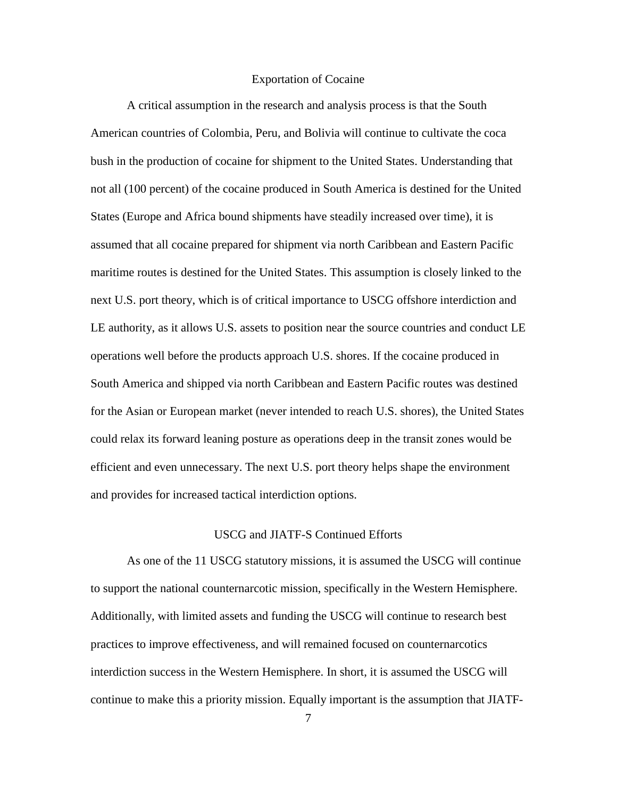## Exportation of Cocaine

A critical assumption in the research and analysis process is that the South American countries of Colombia, Peru, and Bolivia will continue to cultivate the coca bush in the production of cocaine for shipment to the United States. Understanding that not all (100 percent) of the cocaine produced in South America is destined for the United States (Europe and Africa bound shipments have steadily increased over time), it is assumed that all cocaine prepared for shipment via north Caribbean and Eastern Pacific maritime routes is destined for the United States. This assumption is closely linked to the next U.S. port theory, which is of critical importance to USCG offshore interdiction and LE authority, as it allows U.S. assets to position near the source countries and conduct LE operations well before the products approach U.S. shores. If the cocaine produced in South America and shipped via north Caribbean and Eastern Pacific routes was destined for the Asian or European market (never intended to reach U.S. shores), the United States could relax its forward leaning posture as operations deep in the transit zones would be efficient and even unnecessary. The next U.S. port theory helps shape the environment and provides for increased tactical interdiction options.

### USCG and JIATF-S Continued Efforts

As one of the 11 USCG statutory missions, it is assumed the USCG will continue to support the national counternarcotic mission, specifically in the Western Hemisphere. Additionally, with limited assets and funding the USCG will continue to research best practices to improve effectiveness, and will remained focused on counternarcotics interdiction success in the Western Hemisphere. In short, it is assumed the USCG will continue to make this a priority mission. Equally important is the assumption that JIATF-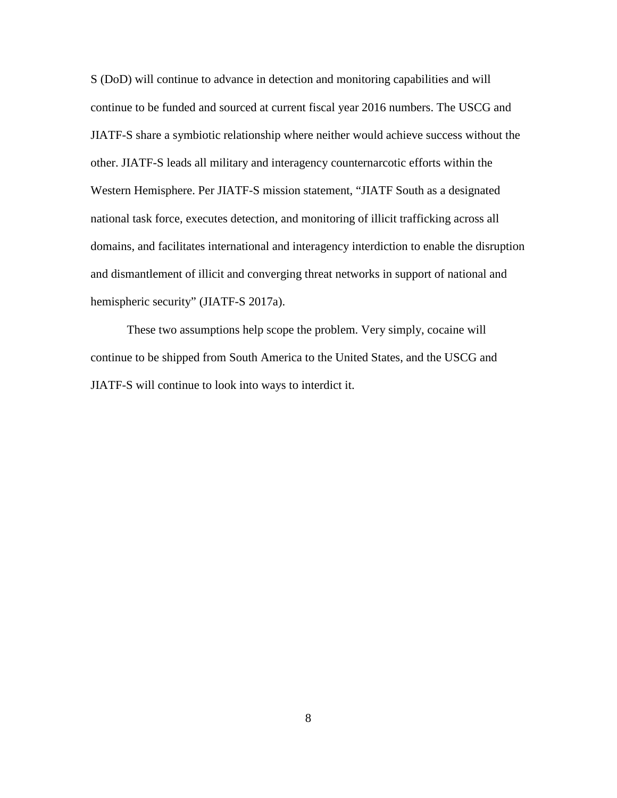S (DoD) will continue to advance in detection and monitoring capabilities and will continue to be funded and sourced at current fiscal year 2016 numbers. The USCG and JIATF-S share a symbiotic relationship where neither would achieve success without the other. JIATF-S leads all military and interagency counternarcotic efforts within the Western Hemisphere. Per JIATF-S mission statement, "JIATF South as a designated national task force, executes detection, and monitoring of illicit trafficking across all domains, and facilitates international and interagency interdiction to enable the disruption and dismantlement of illicit and converging threat networks in support of national and hemispheric security" (JIATF-S 2017a).

These two assumptions help scope the problem. Very simply, cocaine will continue to be shipped from South America to the United States, and the USCG and JIATF-S will continue to look into ways to interdict it.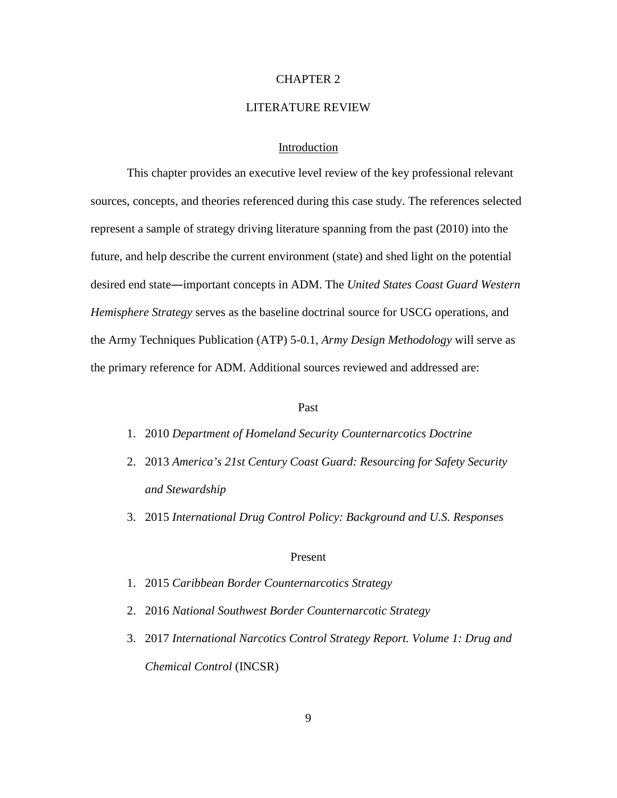#### CHAPTER 2

## LITERATURE REVIEW

## Introduction

This chapter provides an executive level review of the key professional relevant sources, concepts, and theories referenced during this case study. The references selected represent a sample of strategy driving literature spanning from the past (2010) into the future, and help describe the current environment (state) and shed light on the potential desired end state―important concepts in ADM. The *United States Coast Guard Western Hemisphere Strategy* serves as the baseline doctrinal source for USCG operations, and the Army Techniques Publication (ATP) 5-0.1, *Army Design Methodology* will serve as the primary reference for ADM. Additional sources reviewed and addressed are:

#### Past

- 1. 2010 *Department of Homeland Security Counternarcotics Doctrine*
- 2. 2013 *America's 21st Century Coast Guard: Resourcing for Safety Security and Stewardship*
- 3. 2015 *International Drug Control Policy: Background and U.S. Responses*

#### Present

- 1. 2015 *Caribbean Border Counternarcotics Strategy*
- 2. 2016 *National Southwest Border Counternarcotic Strategy*
- 3. 2017 *International Narcotics Control Strategy Report. Volume 1: Drug and Chemical Control* (INCSR)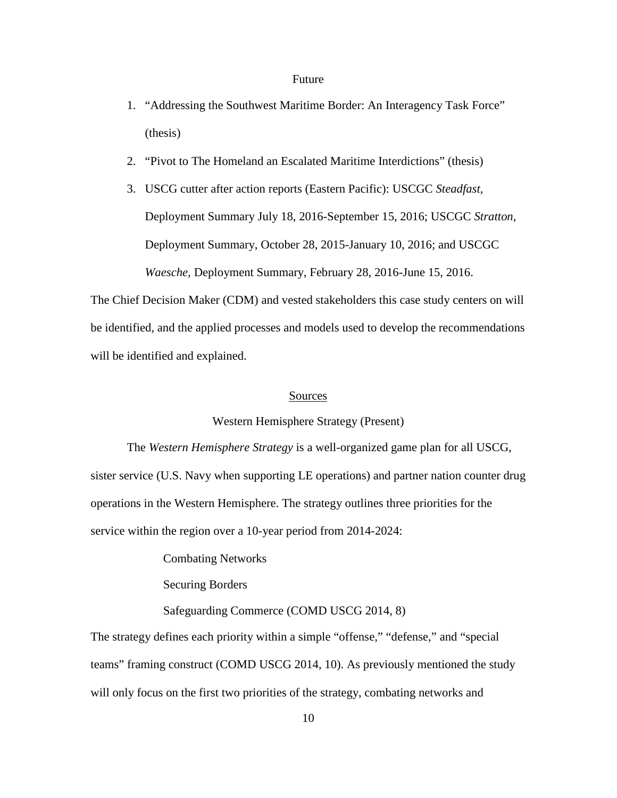#### Future

- 1. "Addressing the Southwest Maritime Border: An Interagency Task Force" (thesis)
- 2. "Pivot to The Homeland an Escalated Maritime Interdictions" (thesis)
- 3. USCG cutter after action reports (Eastern Pacific): USCGC *Steadfast,* Deployment Summary July 18, 2016-September 15, 2016; USCGC *Stratton,* Deployment Summary, October 28, 2015-January 10, 2016; and USCGC *Waesche,* Deployment Summary, February 28, 2016-June 15, 2016.

The Chief Decision Maker (CDM) and vested stakeholders this case study centers on will be identified, and the applied processes and models used to develop the recommendations will be identified and explained.

#### Sources

## Western Hemisphere Strategy (Present)

The *Western Hemisphere Strategy* is a well-organized game plan for all USCG, sister service (U.S. Navy when supporting LE operations) and partner nation counter drug operations in the Western Hemisphere. The strategy outlines three priorities for the service within the region over a 10-year period from 2014-2024:

Combating Networks

Securing Borders

## Safeguarding Commerce (COMD USCG 2014, 8)

The strategy defines each priority within a simple "offense," "defense," and "special teams" framing construct (COMD USCG 2014, 10). As previously mentioned the study will only focus on the first two priorities of the strategy, combating networks and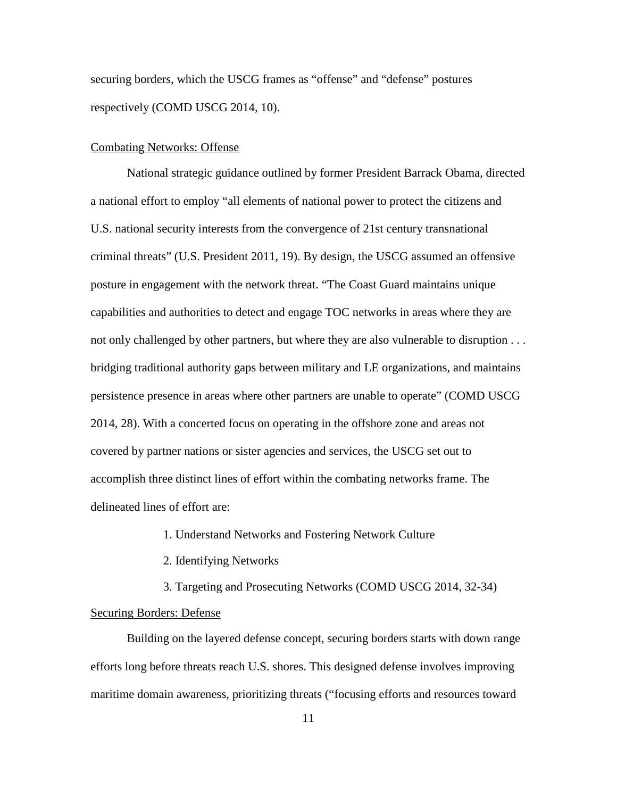securing borders, which the USCG frames as "offense" and "defense" postures respectively (COMD USCG 2014, 10).

## Combating Networks: Offense

National strategic guidance outlined by former President Barrack Obama, directed a national effort to employ "all elements of national power to protect the citizens and U.S. national security interests from the convergence of 21st century transnational criminal threats" (U.S. President 2011, 19). By design, the USCG assumed an offensive posture in engagement with the network threat. "The Coast Guard maintains unique capabilities and authorities to detect and engage TOC networks in areas where they are not only challenged by other partners, but where they are also vulnerable to disruption . . . bridging traditional authority gaps between military and LE organizations, and maintains persistence presence in areas where other partners are unable to operate" (COMD USCG 2014, 28). With a concerted focus on operating in the offshore zone and areas not covered by partner nations or sister agencies and services, the USCG set out to accomplish three distinct lines of effort within the combating networks frame. The delineated lines of effort are:

1. Understand Networks and Fostering Network Culture

2. Identifying Networks

3. Targeting and Prosecuting Networks (COMD USCG 2014, 32-34) Securing Borders: Defense

Building on the layered defense concept, securing borders starts with down range efforts long before threats reach U.S. shores. This designed defense involves improving maritime domain awareness, prioritizing threats ("focusing efforts and resources toward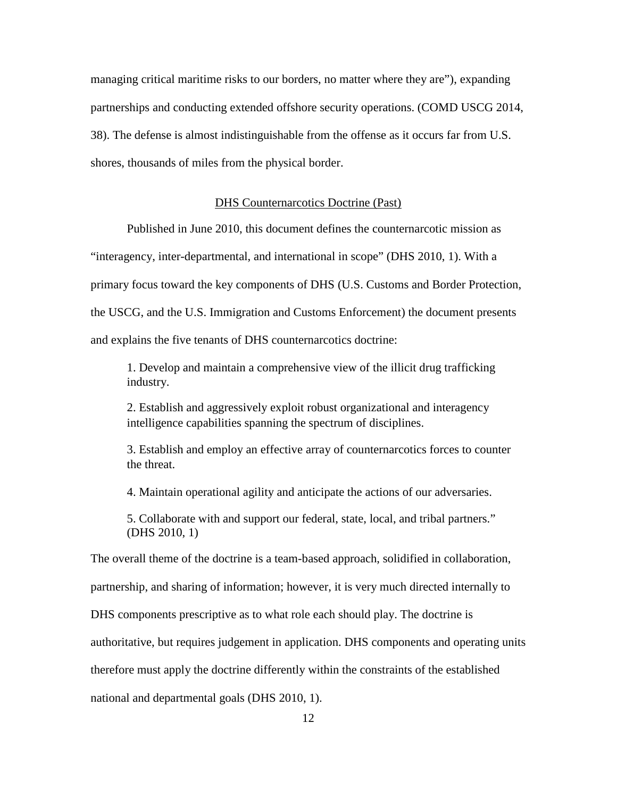managing critical maritime risks to our borders, no matter where they are"), expanding partnerships and conducting extended offshore security operations. (COMD USCG 2014, 38). The defense is almost indistinguishable from the offense as it occurs far from U.S. shores, thousands of miles from the physical border.

#### DHS Counternarcotics Doctrine (Past)

Published in June 2010, this document defines the counternarcotic mission as

"interagency, inter-departmental, and international in scope" (DHS 2010, 1). With a

primary focus toward the key components of DHS (U.S. Customs and Border Protection,

the USCG, and the U.S. Immigration and Customs Enforcement) the document presents

and explains the five tenants of DHS counternarcotics doctrine:

1. Develop and maintain a comprehensive view of the illicit drug trafficking industry.

2. Establish and aggressively exploit robust organizational and interagency intelligence capabilities spanning the spectrum of disciplines.

3. Establish and employ an effective array of counternarcotics forces to counter the threat.

4. Maintain operational agility and anticipate the actions of our adversaries.

5. Collaborate with and support our federal, state, local, and tribal partners." (DHS 2010, 1)

The overall theme of the doctrine is a team-based approach, solidified in collaboration, partnership, and sharing of information; however, it is very much directed internally to DHS components prescriptive as to what role each should play. The doctrine is authoritative, but requires judgement in application. DHS components and operating units therefore must apply the doctrine differently within the constraints of the established national and departmental goals (DHS 2010, 1).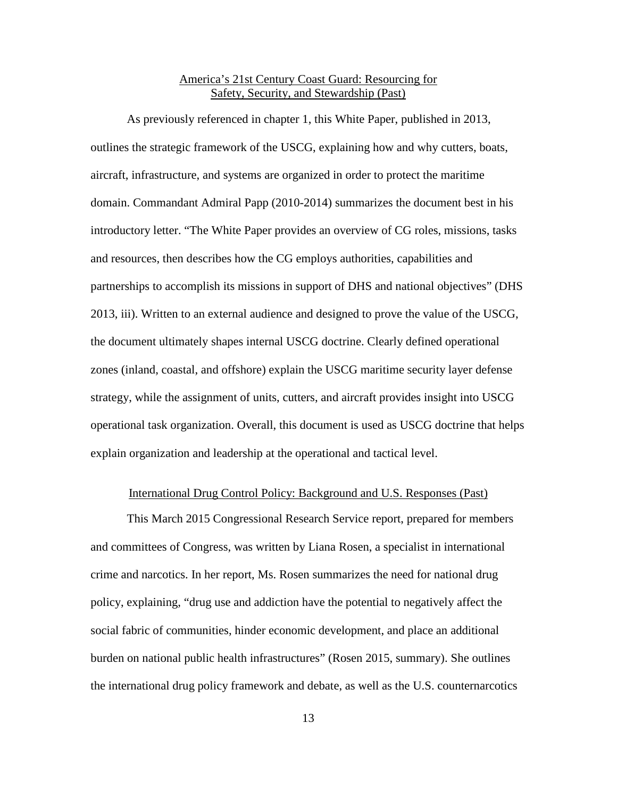## America's 21st Century Coast Guard: Resourcing for Safety, Security, and Stewardship (Past)

As previously referenced in chapter 1, this White Paper, published in 2013, outlines the strategic framework of the USCG, explaining how and why cutters, boats, aircraft, infrastructure, and systems are organized in order to protect the maritime domain. Commandant Admiral Papp (2010-2014) summarizes the document best in his introductory letter. "The White Paper provides an overview of CG roles, missions, tasks and resources, then describes how the CG employs authorities, capabilities and partnerships to accomplish its missions in support of DHS and national objectives" (DHS 2013, iii). Written to an external audience and designed to prove the value of the USCG, the document ultimately shapes internal USCG doctrine. Clearly defined operational zones (inland, coastal, and offshore) explain the USCG maritime security layer defense strategy, while the assignment of units, cutters, and aircraft provides insight into USCG operational task organization. Overall, this document is used as USCG doctrine that helps explain organization and leadership at the operational and tactical level.

## International Drug Control Policy: Background and U.S. Responses (Past)

This March 2015 Congressional Research Service report, prepared for members and committees of Congress, was written by Liana Rosen, a specialist in international crime and narcotics. In her report, Ms. Rosen summarizes the need for national drug policy, explaining, "drug use and addiction have the potential to negatively affect the social fabric of communities, hinder economic development, and place an additional burden on national public health infrastructures" (Rosen 2015, summary). She outlines the international drug policy framework and debate, as well as the U.S. counternarcotics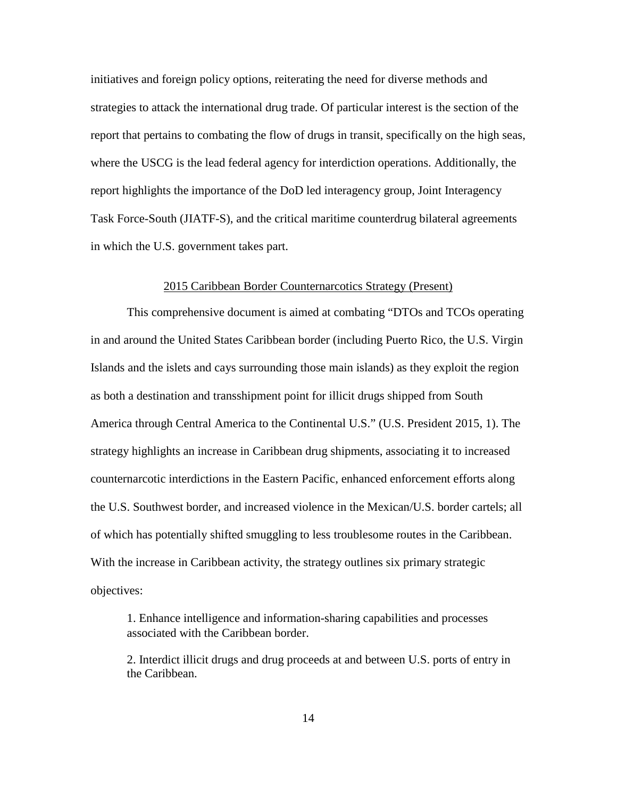initiatives and foreign policy options, reiterating the need for diverse methods and strategies to attack the international drug trade. Of particular interest is the section of the report that pertains to combating the flow of drugs in transit, specifically on the high seas, where the USCG is the lead federal agency for interdiction operations. Additionally, the report highlights the importance of the DoD led interagency group, Joint Interagency Task Force-South (JIATF-S), and the critical maritime counterdrug bilateral agreements in which the U.S. government takes part.

#### 2015 Caribbean Border Counternarcotics Strategy (Present)

This comprehensive document is aimed at combating "DTOs and TCOs operating in and around the United States Caribbean border (including Puerto Rico, the U.S. Virgin Islands and the islets and cays surrounding those main islands) as they exploit the region as both a destination and transshipment point for illicit drugs shipped from South America through Central America to the Continental U.S." (U.S. President 2015, 1). The strategy highlights an increase in Caribbean drug shipments, associating it to increased counternarcotic interdictions in the Eastern Pacific, enhanced enforcement efforts along the U.S. Southwest border, and increased violence in the Mexican/U.S. border cartels; all of which has potentially shifted smuggling to less troublesome routes in the Caribbean. With the increase in Caribbean activity, the strategy outlines six primary strategic objectives:

1. Enhance intelligence and information-sharing capabilities and processes associated with the Caribbean border.

2. Interdict illicit drugs and drug proceeds at and between U.S. ports of entry in the Caribbean.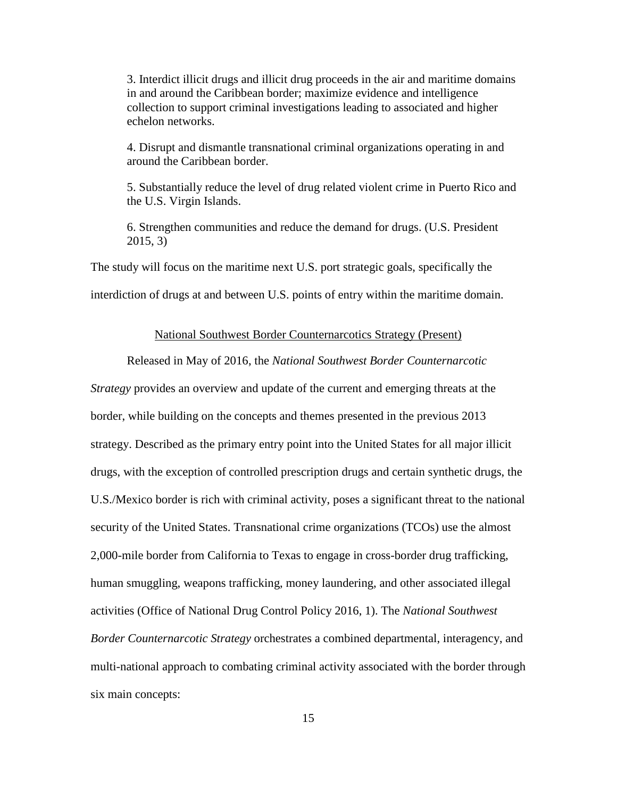3. Interdict illicit drugs and illicit drug proceeds in the air and maritime domains in and around the Caribbean border; maximize evidence and intelligence collection to support criminal investigations leading to associated and higher echelon networks.

4. Disrupt and dismantle transnational criminal organizations operating in and around the Caribbean border.

5. Substantially reduce the level of drug related violent crime in Puerto Rico and the U.S. Virgin Islands.

6. Strengthen communities and reduce the demand for drugs. (U.S. President 2015, 3)

The study will focus on the maritime next U.S. port strategic goals, specifically the

interdiction of drugs at and between U.S. points of entry within the maritime domain.

#### National Southwest Border Counternarcotics Strategy (Present)

Released in May of 2016, the *National Southwest Border Counternarcotic* 

*Strategy* provides an overview and update of the current and emerging threats at the border, while building on the concepts and themes presented in the previous 2013 strategy. Described as the primary entry point into the United States for all major illicit drugs, with the exception of controlled prescription drugs and certain synthetic drugs, the U.S./Mexico border is rich with criminal activity, poses a significant threat to the national security of the United States. Transnational crime organizations (TCOs) use the almost 2,000-mile border from California to Texas to engage in cross-border drug trafficking, human smuggling, weapons trafficking, money laundering, and other associated illegal activities (Office of National Drug Control Policy 2016, 1). The *National Southwest Border Counternarcotic Strategy* orchestrates a combined departmental, interagency, and multi-national approach to combating criminal activity associated with the border through six main concepts: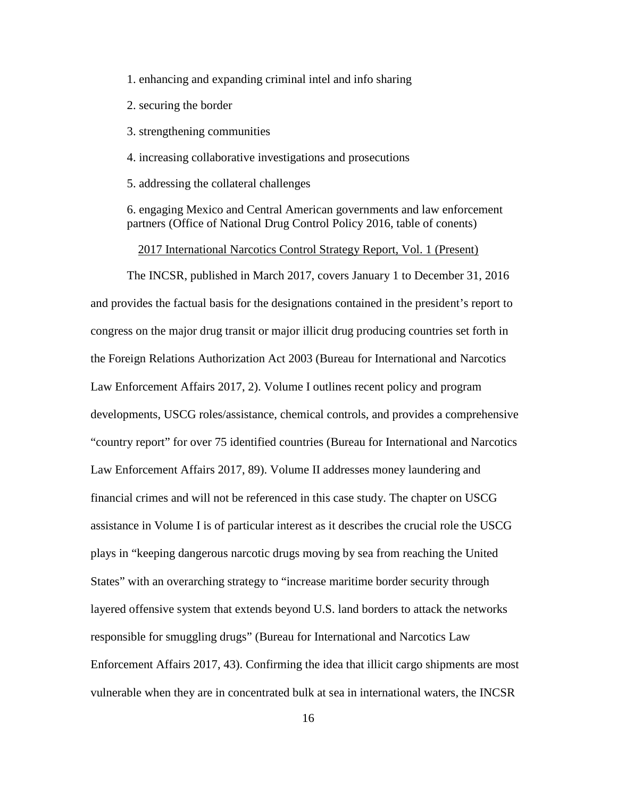1. enhancing and expanding criminal intel and info sharing

2. securing the border

3. strengthening communities

4. increasing collaborative investigations and prosecutions

5. addressing the collateral challenges

6. engaging Mexico and Central American governments and law enforcement partners (Office of National Drug Control Policy 2016, table of conents)

2017 International Narcotics Control Strategy Report, Vol. 1 (Present)

The INCSR, published in March 2017, covers January 1 to December 31, 2016 and provides the factual basis for the designations contained in the president's report to congress on the major drug transit or major illicit drug producing countries set forth in the Foreign Relations Authorization Act 2003 (Bureau for International and Narcotics Law Enforcement Affairs 2017, 2). Volume I outlines recent policy and program developments, USCG roles/assistance, chemical controls, and provides a comprehensive "country report" for over 75 identified countries (Bureau for International and Narcotics Law Enforcement Affairs 2017, 89). Volume II addresses money laundering and financial crimes and will not be referenced in this case study. The chapter on USCG assistance in Volume I is of particular interest as it describes the crucial role the USCG plays in "keeping dangerous narcotic drugs moving by sea from reaching the United States" with an overarching strategy to "increase maritime border security through layered offensive system that extends beyond U.S. land borders to attack the networks responsible for smuggling drugs" (Bureau for International and Narcotics Law Enforcement Affairs 2017, 43). Confirming the idea that illicit cargo shipments are most vulnerable when they are in concentrated bulk at sea in international waters, the INCSR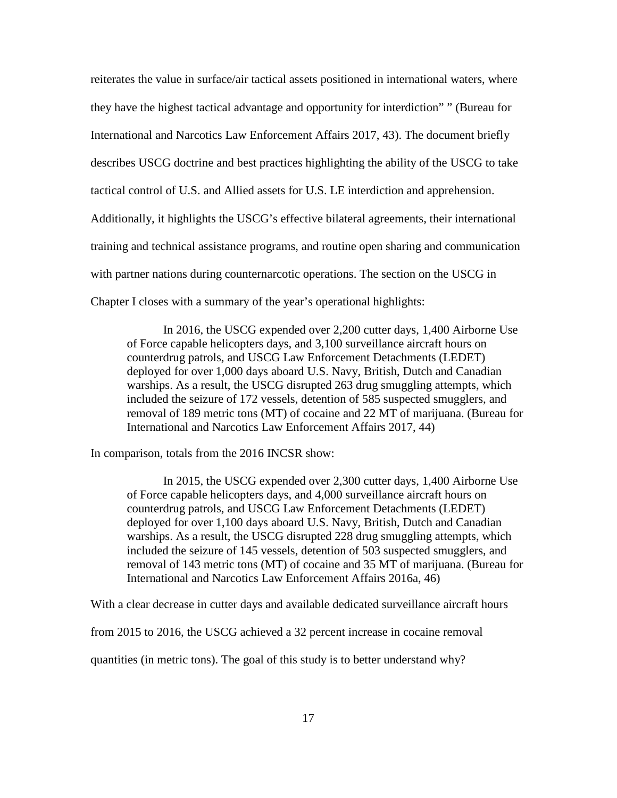reiterates the value in surface/air tactical assets positioned in international waters, where they have the highest tactical advantage and opportunity for interdiction" " (Bureau for International and Narcotics Law Enforcement Affairs 2017, 43). The document briefly describes USCG doctrine and best practices highlighting the ability of the USCG to take tactical control of U.S. and Allied assets for U.S. LE interdiction and apprehension. Additionally, it highlights the USCG's effective bilateral agreements, their international training and technical assistance programs, and routine open sharing and communication with partner nations during counternarcotic operations. The section on the USCG in Chapter I closes with a summary of the year's operational highlights:

In 2016, the USCG expended over 2,200 cutter days, 1,400 Airborne Use of Force capable helicopters days, and 3,100 surveillance aircraft hours on counterdrug patrols, and USCG Law Enforcement Detachments (LEDET) deployed for over 1,000 days aboard U.S. Navy, British, Dutch and Canadian warships. As a result, the USCG disrupted 263 drug smuggling attempts, which included the seizure of 172 vessels, detention of 585 suspected smugglers, and removal of 189 metric tons (MT) of cocaine and 22 MT of marijuana. (Bureau for International and Narcotics Law Enforcement Affairs 2017, 44)

In comparison, totals from the 2016 INCSR show:

In 2015, the USCG expended over 2,300 cutter days, 1,400 Airborne Use of Force capable helicopters days, and 4,000 surveillance aircraft hours on counterdrug patrols, and USCG Law Enforcement Detachments (LEDET) deployed for over 1,100 days aboard U.S. Navy, British, Dutch and Canadian warships. As a result, the USCG disrupted 228 drug smuggling attempts, which included the seizure of 145 vessels, detention of 503 suspected smugglers, and removal of 143 metric tons (MT) of cocaine and 35 MT of marijuana. (Bureau for International and Narcotics Law Enforcement Affairs 2016a, 46)

With a clear decrease in cutter days and available dedicated surveillance aircraft hours

from 2015 to 2016, the USCG achieved a 32 percent increase in cocaine removal

quantities (in metric tons). The goal of this study is to better understand why?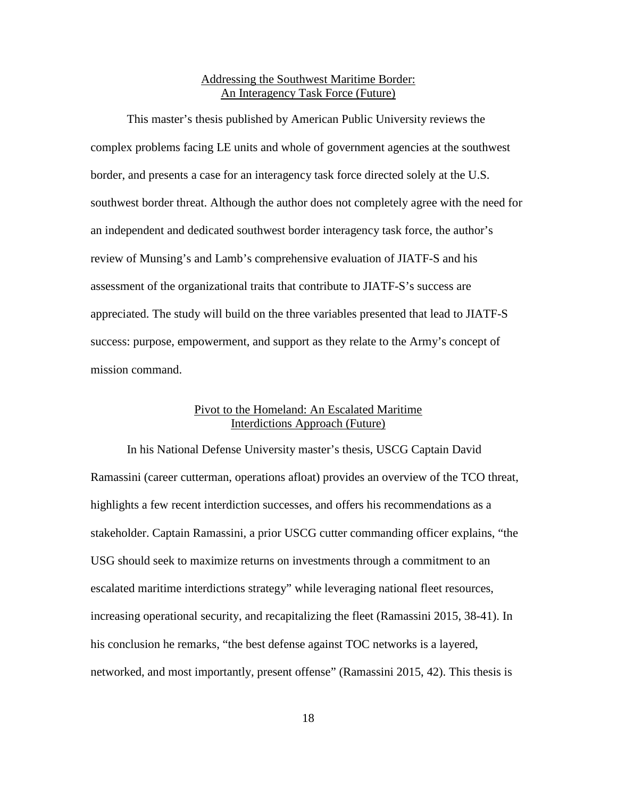## Addressing the Southwest Maritime Border: An Interagency Task Force (Future)

This master's thesis published by American Public University reviews the complex problems facing LE units and whole of government agencies at the southwest border, and presents a case for an interagency task force directed solely at the U.S. southwest border threat. Although the author does not completely agree with the need for an independent and dedicated southwest border interagency task force, the author's review of Munsing's and Lamb's comprehensive evaluation of JIATF-S and his assessment of the organizational traits that contribute to JIATF-S's success are appreciated. The study will build on the three variables presented that lead to JIATF-S success: purpose, empowerment, and support as they relate to the Army's concept of mission command.

## Pivot to the Homeland: An Escalated Maritime Interdictions Approach (Future)

In his National Defense University master's thesis, USCG Captain David Ramassini (career cutterman, operations afloat) provides an overview of the TCO threat, highlights a few recent interdiction successes, and offers his recommendations as a stakeholder. Captain Ramassini, a prior USCG cutter commanding officer explains, "the USG should seek to maximize returns on investments through a commitment to an escalated maritime interdictions strategy" while leveraging national fleet resources, increasing operational security, and recapitalizing the fleet (Ramassini 2015, 38-41). In his conclusion he remarks, "the best defense against TOC networks is a layered, networked, and most importantly, present offense" (Ramassini 2015, 42). This thesis is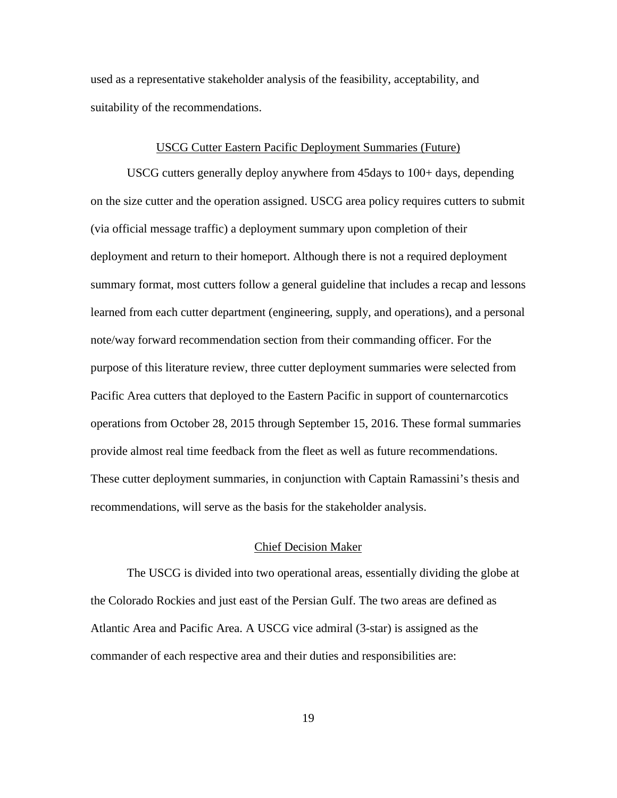used as a representative stakeholder analysis of the feasibility, acceptability, and suitability of the recommendations.

#### USCG Cutter Eastern Pacific Deployment Summaries (Future)

USCG cutters generally deploy anywhere from 45days to 100+ days, depending on the size cutter and the operation assigned. USCG area policy requires cutters to submit (via official message traffic) a deployment summary upon completion of their deployment and return to their homeport. Although there is not a required deployment summary format, most cutters follow a general guideline that includes a recap and lessons learned from each cutter department (engineering, supply, and operations), and a personal note/way forward recommendation section from their commanding officer. For the purpose of this literature review, three cutter deployment summaries were selected from Pacific Area cutters that deployed to the Eastern Pacific in support of counternarcotics operations from October 28, 2015 through September 15, 2016. These formal summaries provide almost real time feedback from the fleet as well as future recommendations. These cutter deployment summaries, in conjunction with Captain Ramassini's thesis and recommendations, will serve as the basis for the stakeholder analysis.

### Chief Decision Maker

The USCG is divided into two operational areas, essentially dividing the globe at the Colorado Rockies and just east of the Persian Gulf. The two areas are defined as Atlantic Area and Pacific Area. A USCG vice admiral (3-star) is assigned as the commander of each respective area and their duties and responsibilities are: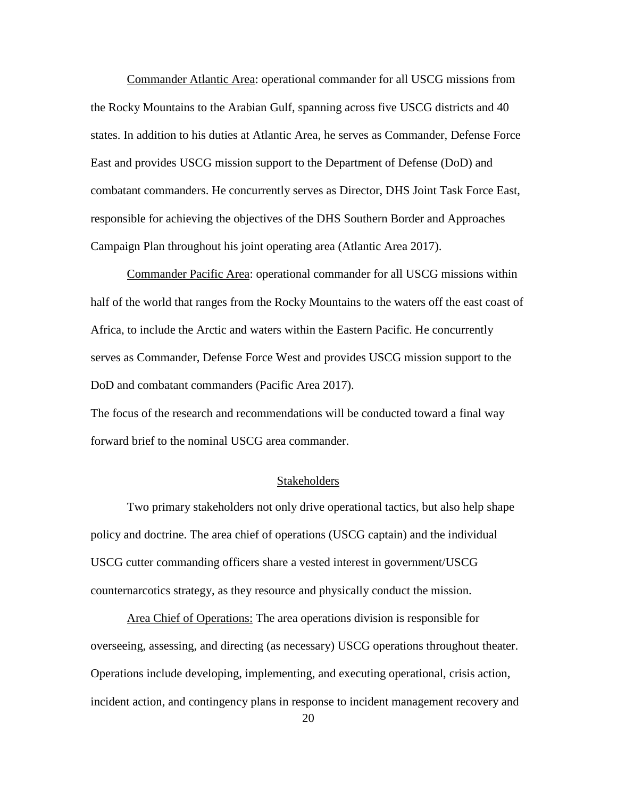Commander Atlantic Area: operational commander for all USCG missions from the Rocky Mountains to the Arabian Gulf, spanning across five USCG districts and 40 states. In addition to his duties at Atlantic Area, he serves as Commander, Defense Force East and provides USCG mission support to the Department of Defense (DoD) and combatant commanders. He concurrently serves as Director, DHS Joint Task Force East, responsible for achieving the objectives of the DHS Southern Border and Approaches Campaign Plan throughout his joint operating area (Atlantic Area 2017).

Commander Pacific Area: operational commander for all USCG missions within half of the world that ranges from the Rocky Mountains to the waters off the east coast of Africa, to include the Arctic and waters within the Eastern Pacific. He concurrently serves as Commander, Defense Force West and provides USCG mission support to the DoD and combatant commanders (Pacific Area 2017).

The focus of the research and recommendations will be conducted toward a final way forward brief to the nominal USCG area commander.

#### **Stakeholders**

Two primary stakeholders not only drive operational tactics, but also help shape policy and doctrine. The area chief of operations (USCG captain) and the individual USCG cutter commanding officers share a vested interest in government/USCG counternarcotics strategy, as they resource and physically conduct the mission.

Area Chief of Operations: The area operations division is responsible for overseeing, assessing, and directing (as necessary) USCG operations throughout theater. Operations include developing, implementing, and executing operational, crisis action, incident action, and contingency plans in response to incident management recovery and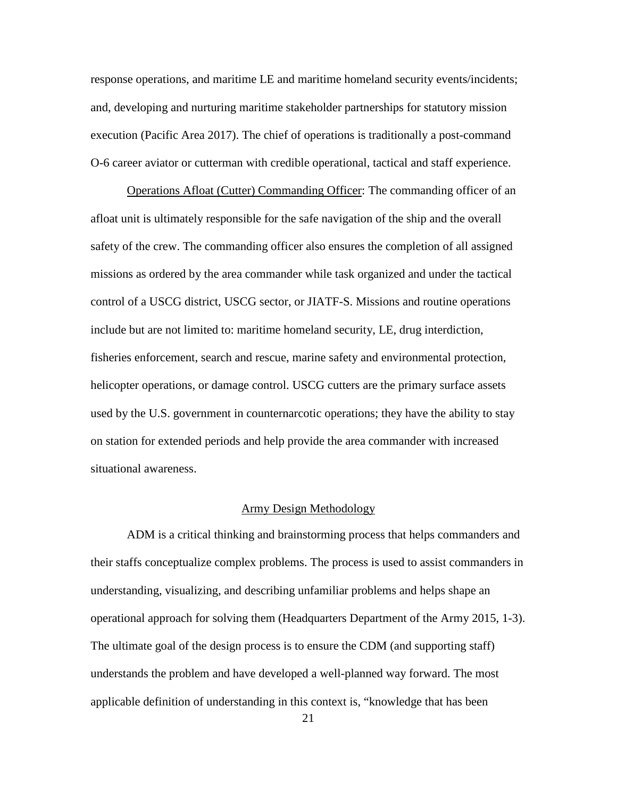response operations, and maritime LE and maritime homeland security events/incidents; and, developing and nurturing maritime stakeholder partnerships for statutory mission execution (Pacific Area 2017). The chief of operations is traditionally a post-command O-6 career aviator or cutterman with credible operational, tactical and staff experience.

Operations Afloat (Cutter) Commanding Officer: The commanding officer of an afloat unit is ultimately responsible for the safe navigation of the ship and the overall safety of the crew. The commanding officer also ensures the completion of all assigned missions as ordered by the area commander while task organized and under the tactical control of a USCG district, USCG sector, or JIATF-S. Missions and routine operations include but are not limited to: maritime homeland security, LE, drug interdiction, fisheries enforcement, search and rescue, marine safety and environmental protection, helicopter operations, or damage control. USCG cutters are the primary surface assets used by the U.S. government in counternarcotic operations; they have the ability to stay on station for extended periods and help provide the area commander with increased situational awareness.

#### Army Design Methodology

ADM is a critical thinking and brainstorming process that helps commanders and their staffs conceptualize complex problems. The process is used to assist commanders in understanding, visualizing, and describing unfamiliar problems and helps shape an operational approach for solving them (Headquarters Department of the Army 2015, 1-3). The ultimate goal of the design process is to ensure the CDM (and supporting staff) understands the problem and have developed a well-planned way forward. The most applicable definition of understanding in this context is, "knowledge that has been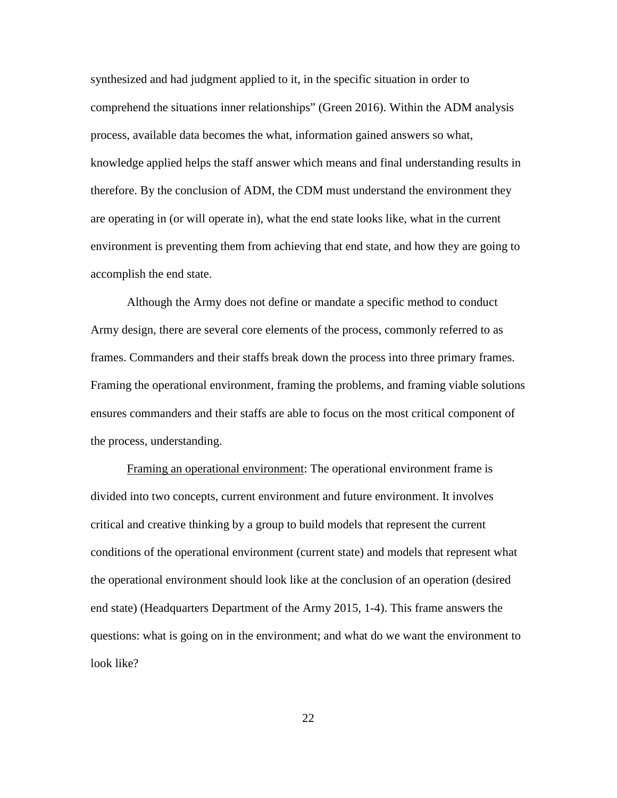synthesized and had judgment applied to it, in the specific situation in order to comprehend the situations inner relationships" (Green 2016). Within the ADM analysis process, available data becomes the what, information gained answers so what, knowledge applied helps the staff answer which means and final understanding results in therefore. By the conclusion of ADM, the CDM must understand the environment they are operating in (or will operate in), what the end state looks like, what in the current environment is preventing them from achieving that end state, and how they are going to accomplish the end state.

Although the Army does not define or mandate a specific method to conduct Army design, there are several core elements of the process, commonly referred to as frames. Commanders and their staffs break down the process into three primary frames. Framing the operational environment, framing the problems, and framing viable solutions ensures commanders and their staffs are able to focus on the most critical component of the process, understanding.

Framing an operational environment: The operational environment frame is divided into two concepts, current environment and future environment. It involves critical and creative thinking by a group to build models that represent the current conditions of the operational environment (current state) and models that represent what the operational environment should look like at the conclusion of an operation (desired end state) (Headquarters Department of the Army 2015, 1-4). This frame answers the questions: what is going on in the environment; and what do we want the environment to look like?

22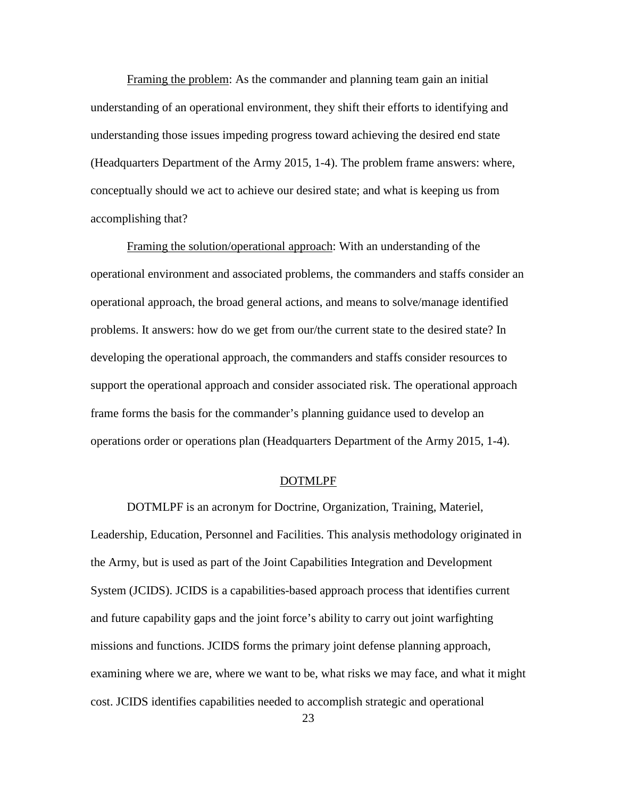Framing the problem: As the commander and planning team gain an initial understanding of an operational environment, they shift their efforts to identifying and understanding those issues impeding progress toward achieving the desired end state (Headquarters Department of the Army 2015, 1-4). The problem frame answers: where, conceptually should we act to achieve our desired state; and what is keeping us from accomplishing that?

Framing the solution/operational approach: With an understanding of the operational environment and associated problems, the commanders and staffs consider an operational approach, the broad general actions, and means to solve/manage identified problems. It answers: how do we get from our/the current state to the desired state? In developing the operational approach, the commanders and staffs consider resources to support the operational approach and consider associated risk. The operational approach frame forms the basis for the commander's planning guidance used to develop an operations order or operations plan (Headquarters Department of the Army 2015, 1-4).

#### DOTMLPF

DOTMLPF is an acronym for Doctrine, Organization, Training, Materiel, Leadership, Education, Personnel and Facilities. This analysis methodology originated in the Army, but is used as part of the Joint Capabilities Integration and Development System (JCIDS). JCIDS is a capabilities-based approach process that identifies current and future capability gaps and the joint force's ability to carry out joint warfighting missions and functions. JCIDS forms the primary joint defense planning approach, examining where we are, where we want to be, what risks we may face, and what it might cost. JCIDS identifies capabilities needed to accomplish strategic and operational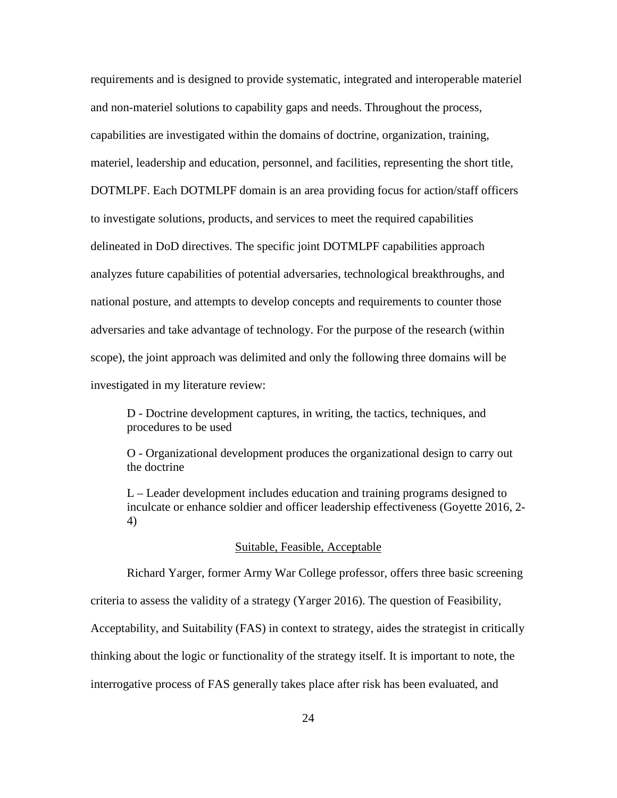requirements and is designed to provide systematic, integrated and interoperable materiel and non-materiel solutions to capability gaps and needs. Throughout the process, capabilities are investigated within the domains of doctrine, organization, training, materiel, leadership and education, personnel, and facilities, representing the short title, DOTMLPF. Each DOTMLPF domain is an area providing focus for action/staff officers to investigate solutions, products, and services to meet the required capabilities delineated in DoD directives. The specific joint DOTMLPF capabilities approach analyzes future capabilities of potential adversaries, technological breakthroughs, and national posture, and attempts to develop concepts and requirements to counter those adversaries and take advantage of technology. For the purpose of the research (within scope), the joint approach was delimited and only the following three domains will be investigated in my literature review:

D - Doctrine development captures, in writing, the tactics, techniques, and procedures to be used

O - Organizational development produces the organizational design to carry out the doctrine

L – Leader development includes education and training programs designed to inculcate or enhance soldier and officer leadership effectiveness (Goyette 2016, 2- 4)

#### Suitable, Feasible, Acceptable

Richard Yarger, former Army War College professor, offers three basic screening

criteria to assess the validity of a strategy (Yarger 2016). The question of Feasibility,

Acceptability, and Suitability (FAS) in context to strategy, aides the strategist in critically

thinking about the logic or functionality of the strategy itself. It is important to note, the

interrogative process of FAS generally takes place after risk has been evaluated, and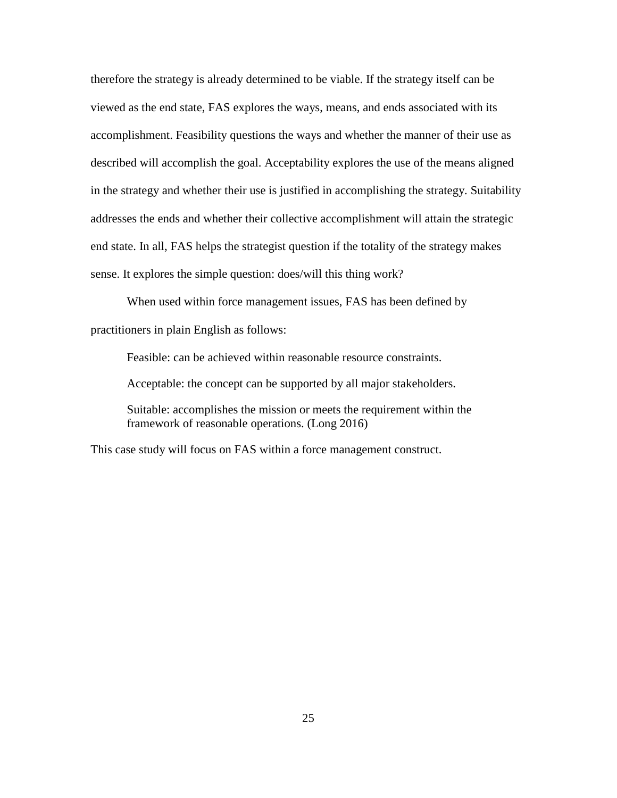therefore the strategy is already determined to be viable. If the strategy itself can be viewed as the end state, FAS explores the ways, means, and ends associated with its accomplishment. Feasibility questions the ways and whether the manner of their use as described will accomplish the goal. Acceptability explores the use of the means aligned in the strategy and whether their use is justified in accomplishing the strategy. Suitability addresses the ends and whether their collective accomplishment will attain the strategic end state. In all, FAS helps the strategist question if the totality of the strategy makes sense. It explores the simple question: does/will this thing work?

When used within force management issues, FAS has been defined by practitioners in plain English as follows:

Feasible: can be achieved within reasonable resource constraints.

Acceptable: the concept can be supported by all major stakeholders.

Suitable: accomplishes the mission or meets the requirement within the framework of reasonable operations. (Long 2016)

This case study will focus on FAS within a force management construct.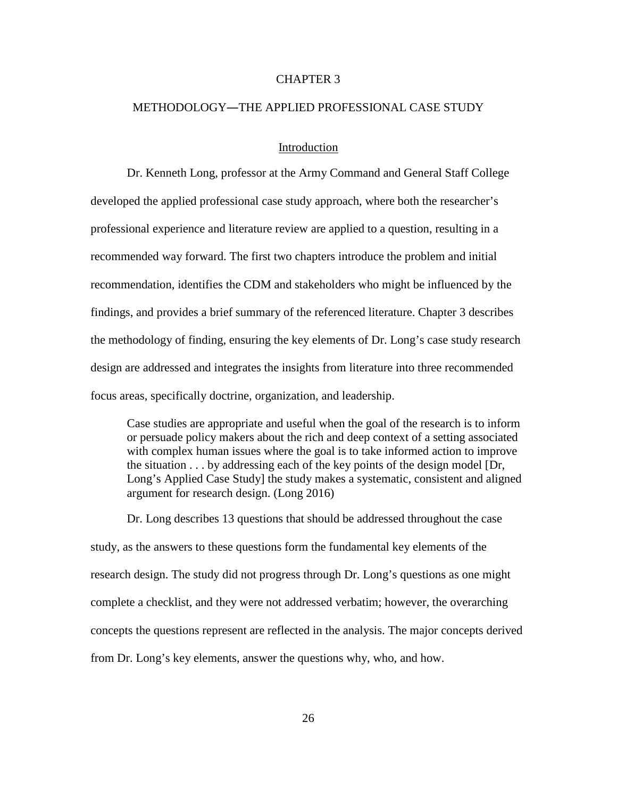## CHAPTER 3

#### METHODOLOGY―THE APPLIED PROFESSIONAL CASE STUDY

## **Introduction**

Dr. Kenneth Long, professor at the Army Command and General Staff College developed the applied professional case study approach, where both the researcher's professional experience and literature review are applied to a question, resulting in a recommended way forward. The first two chapters introduce the problem and initial recommendation, identifies the CDM and stakeholders who might be influenced by the findings, and provides a brief summary of the referenced literature. Chapter 3 describes the methodology of finding, ensuring the key elements of Dr. Long's case study research design are addressed and integrates the insights from literature into three recommended focus areas, specifically doctrine, organization, and leadership.

Case studies are appropriate and useful when the goal of the research is to inform or persuade policy makers about the rich and deep context of a setting associated with complex human issues where the goal is to take informed action to improve the situation . . . by addressing each of the key points of the design model [Dr, Long's Applied Case Study] the study makes a systematic, consistent and aligned argument for research design. (Long 2016)

Dr. Long describes 13 questions that should be addressed throughout the case study, as the answers to these questions form the fundamental key elements of the research design. The study did not progress through Dr. Long's questions as one might complete a checklist, and they were not addressed verbatim; however, the overarching concepts the questions represent are reflected in the analysis. The major concepts derived from Dr. Long's key elements, answer the questions why, who, and how.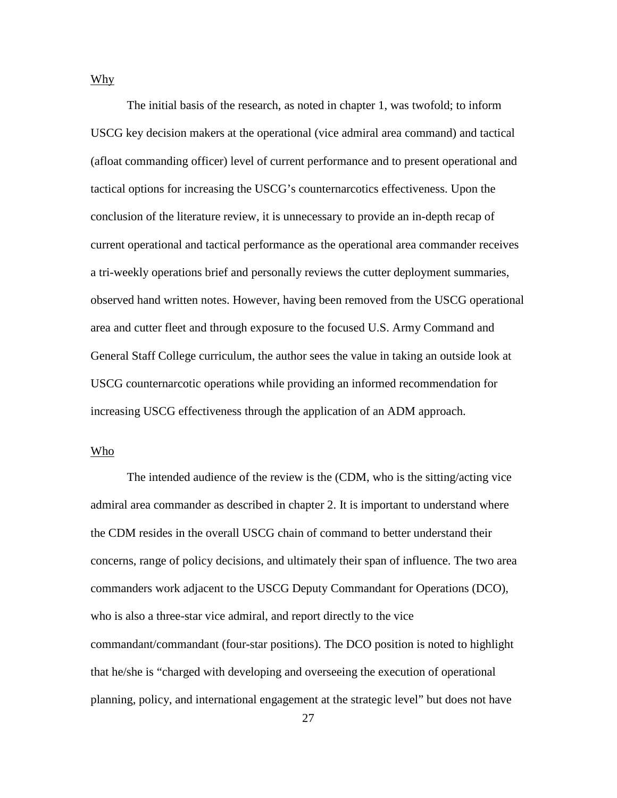Why

The initial basis of the research, as noted in chapter 1, was twofold; to inform USCG key decision makers at the operational (vice admiral area command) and tactical (afloat commanding officer) level of current performance and to present operational and tactical options for increasing the USCG's counternarcotics effectiveness. Upon the conclusion of the literature review, it is unnecessary to provide an in-depth recap of current operational and tactical performance as the operational area commander receives a tri-weekly operations brief and personally reviews the cutter deployment summaries, observed hand written notes. However, having been removed from the USCG operational area and cutter fleet and through exposure to the focused U.S. Army Command and General Staff College curriculum, the author sees the value in taking an outside look at USCG counternarcotic operations while providing an informed recommendation for increasing USCG effectiveness through the application of an ADM approach.

#### Who

The intended audience of the review is the (CDM, who is the sitting/acting vice admiral area commander as described in chapter 2. It is important to understand where the CDM resides in the overall USCG chain of command to better understand their concerns, range of policy decisions, and ultimately their span of influence. The two area commanders work adjacent to the USCG Deputy Commandant for Operations (DCO), who is also a three-star vice admiral, and report directly to the vice commandant/commandant (four-star positions). The DCO position is noted to highlight that he/she is "charged with developing and overseeing the execution of operational planning, policy, and international engagement at the strategic level" but does not have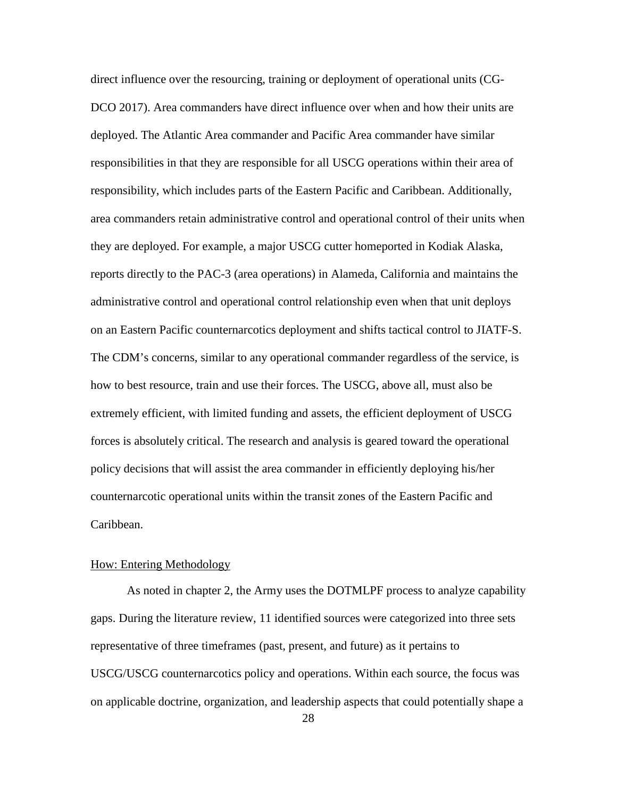direct influence over the resourcing, training or deployment of operational units (CG-DCO 2017). Area commanders have direct influence over when and how their units are deployed. The Atlantic Area commander and Pacific Area commander have similar responsibilities in that they are responsible for all USCG operations within their area of responsibility, which includes parts of the Eastern Pacific and Caribbean. Additionally, area commanders retain administrative control and operational control of their units when they are deployed. For example, a major USCG cutter homeported in Kodiak Alaska, reports directly to the PAC-3 (area operations) in Alameda, California and maintains the administrative control and operational control relationship even when that unit deploys on an Eastern Pacific counternarcotics deployment and shifts tactical control to JIATF-S. The CDM's concerns, similar to any operational commander regardless of the service, is how to best resource, train and use their forces. The USCG, above all, must also be extremely efficient, with limited funding and assets, the efficient deployment of USCG forces is absolutely critical. The research and analysis is geared toward the operational policy decisions that will assist the area commander in efficiently deploying his/her counternarcotic operational units within the transit zones of the Eastern Pacific and Caribbean.

#### How: Entering Methodology

As noted in chapter 2, the Army uses the DOTMLPF process to analyze capability gaps. During the literature review, 11 identified sources were categorized into three sets representative of three timeframes (past, present, and future) as it pertains to USCG/USCG counternarcotics policy and operations. Within each source, the focus was on applicable doctrine, organization, and leadership aspects that could potentially shape a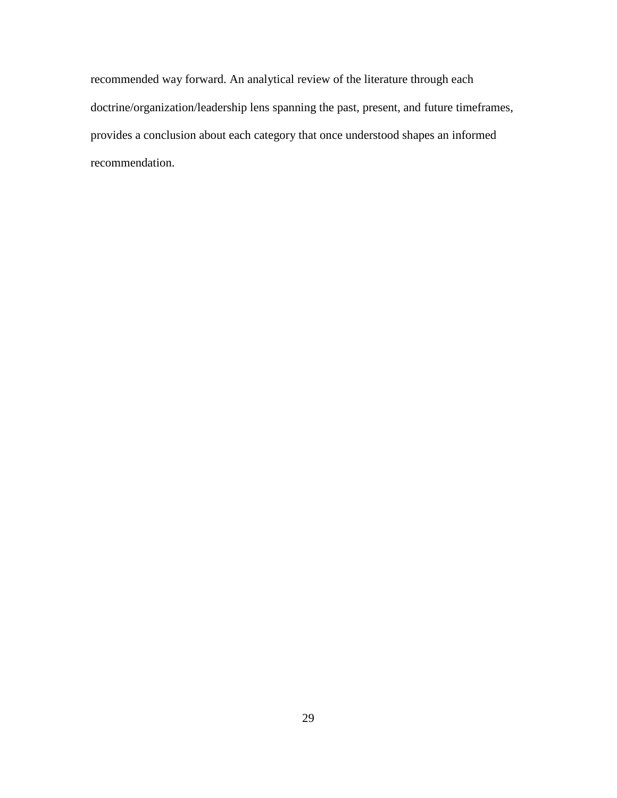recommended way forward. An analytical review of the literature through each doctrine/organization/leadership lens spanning the past, present, and future timeframes, provides a conclusion about each category that once understood shapes an informed recommendation.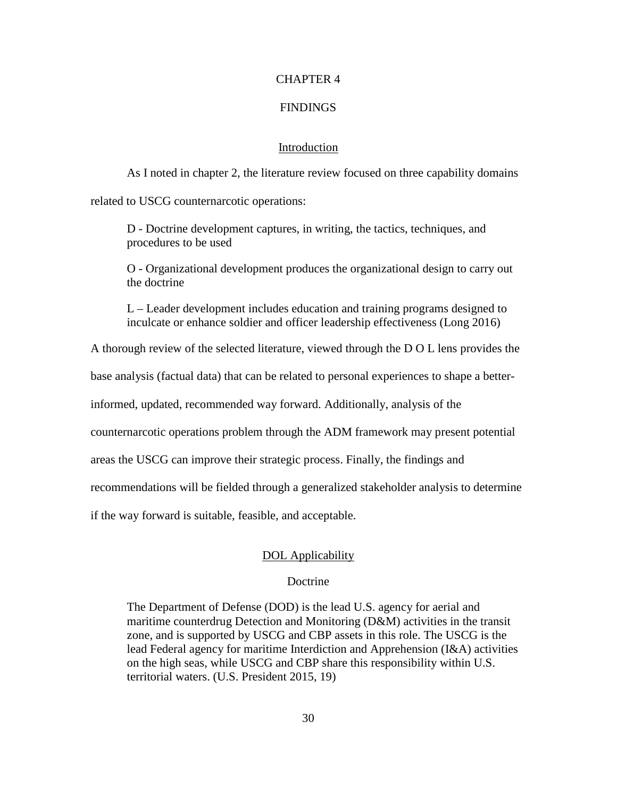## CHAPTER 4

### FINDINGS

## Introduction

As I noted in chapter 2, the literature review focused on three capability domains related to USCG counternarcotic operations:

D - Doctrine development captures, in writing, the tactics, techniques, and procedures to be used

O - Organizational development produces the organizational design to carry out the doctrine

L – Leader development includes education and training programs designed to inculcate or enhance soldier and officer leadership effectiveness (Long 2016)

A thorough review of the selected literature, viewed through the D O L lens provides the

base analysis (factual data) that can be related to personal experiences to shape a better-

informed, updated, recommended way forward. Additionally, analysis of the

counternarcotic operations problem through the ADM framework may present potential

areas the USCG can improve their strategic process. Finally, the findings and

recommendations will be fielded through a generalized stakeholder analysis to determine

if the way forward is suitable, feasible, and acceptable.

#### DOL Applicability

#### Doctrine

The Department of Defense (DOD) is the lead U.S. agency for aerial and maritime counterdrug Detection and Monitoring (D&M) activities in the transit zone, and is supported by USCG and CBP assets in this role. The USCG is the lead Federal agency for maritime Interdiction and Apprehension (I&A) activities on the high seas, while USCG and CBP share this responsibility within U.S. territorial waters. (U.S. President 2015, 19)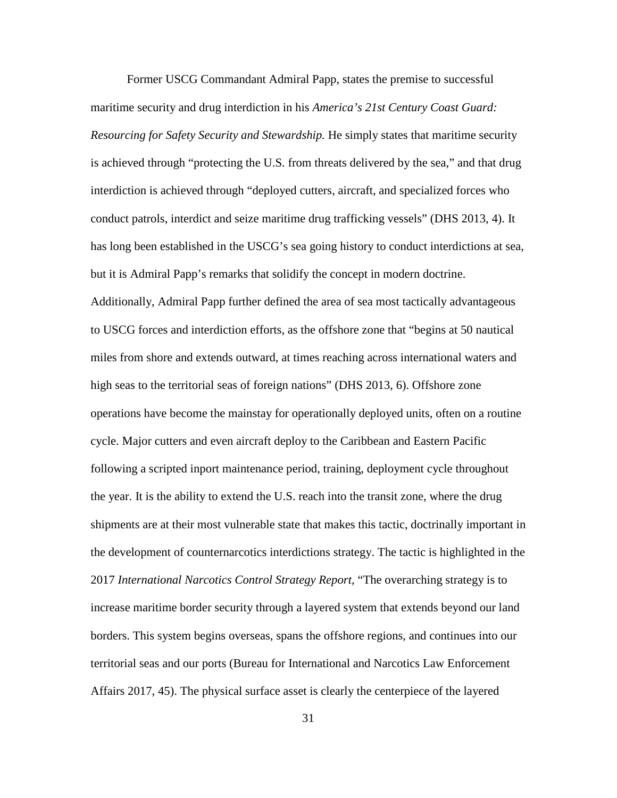Former USCG Commandant Admiral Papp, states the premise to successful maritime security and drug interdiction in his *America's 21st Century Coast Guard: Resourcing for Safety Security and Stewardship.* He simply states that maritime security is achieved through "protecting the U.S. from threats delivered by the sea," and that drug interdiction is achieved through "deployed cutters, aircraft, and specialized forces who conduct patrols, interdict and seize maritime drug trafficking vessels" (DHS 2013, 4). It has long been established in the USCG's sea going history to conduct interdictions at sea, but it is Admiral Papp's remarks that solidify the concept in modern doctrine. Additionally, Admiral Papp further defined the area of sea most tactically advantageous to USCG forces and interdiction efforts, as the offshore zone that "begins at 50 nautical miles from shore and extends outward, at times reaching across international waters and high seas to the territorial seas of foreign nations" (DHS 2013, 6). Offshore zone operations have become the mainstay for operationally deployed units, often on a routine cycle. Major cutters and even aircraft deploy to the Caribbean and Eastern Pacific following a scripted inport maintenance period, training, deployment cycle throughout the year. It is the ability to extend the U.S. reach into the transit zone, where the drug shipments are at their most vulnerable state that makes this tactic, doctrinally important in the development of counternarcotics interdictions strategy. The tactic is highlighted in the 2017 *International Narcotics Control Strategy Report,* "The overarching strategy is to increase maritime border security through a layered system that extends beyond our land borders. This system begins overseas, spans the offshore regions, and continues into our territorial seas and our ports (Bureau for International and Narcotics Law Enforcement Affairs 2017, 45). The physical surface asset is clearly the centerpiece of the layered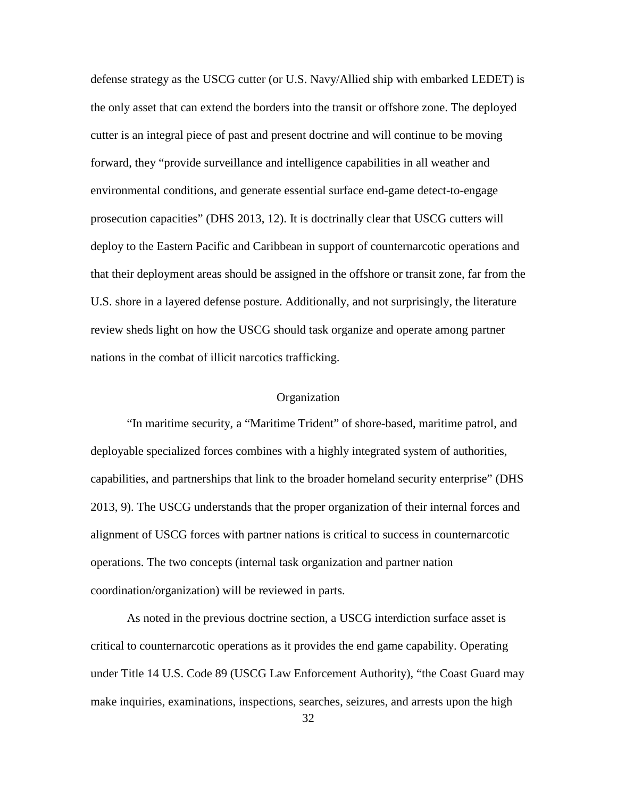defense strategy as the USCG cutter (or U.S. Navy/Allied ship with embarked LEDET) is the only asset that can extend the borders into the transit or offshore zone. The deployed cutter is an integral piece of past and present doctrine and will continue to be moving forward, they "provide surveillance and intelligence capabilities in all weather and environmental conditions, and generate essential surface end-game detect-to-engage prosecution capacities" (DHS 2013, 12). It is doctrinally clear that USCG cutters will deploy to the Eastern Pacific and Caribbean in support of counternarcotic operations and that their deployment areas should be assigned in the offshore or transit zone, far from the U.S. shore in a layered defense posture. Additionally, and not surprisingly, the literature review sheds light on how the USCG should task organize and operate among partner nations in the combat of illicit narcotics trafficking.

## **Organization**

"In maritime security, a "Maritime Trident" of shore-based, maritime patrol, and deployable specialized forces combines with a highly integrated system of authorities, capabilities, and partnerships that link to the broader homeland security enterprise" (DHS 2013, 9). The USCG understands that the proper organization of their internal forces and alignment of USCG forces with partner nations is critical to success in counternarcotic operations. The two concepts (internal task organization and partner nation coordination/organization) will be reviewed in parts.

As noted in the previous doctrine section, a USCG interdiction surface asset is critical to counternarcotic operations as it provides the end game capability. Operating under Title 14 U.S. Code 89 (USCG Law Enforcement Authority), "the Coast Guard may make inquiries, examinations, inspections, searches, seizures, and arrests upon the high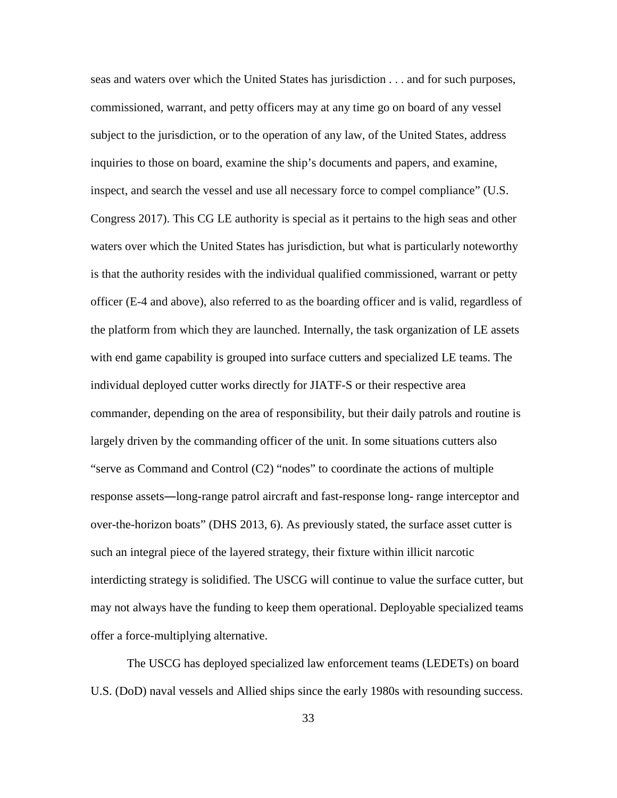seas and waters over which the United States has jurisdiction . . . and for such purposes, commissioned, warrant, and petty officers may at any time go on board of any vessel subject to the jurisdiction, or to the operation of any law, of the United States, address inquiries to those on board, examine the ship's documents and papers, and examine, inspect, and search the vessel and use all necessary force to compel compliance" (U.S. Congress 2017). This CG LE authority is special as it pertains to the high seas and other waters over which the United States has jurisdiction, but what is particularly noteworthy is that the authority resides with the individual qualified commissioned, warrant or petty officer (E-4 and above), also referred to as the boarding officer and is valid, regardless of the platform from which they are launched. Internally, the task organization of LE assets with end game capability is grouped into surface cutters and specialized LE teams. The individual deployed cutter works directly for JIATF-S or their respective area commander, depending on the area of responsibility, but their daily patrols and routine is largely driven by the commanding officer of the unit. In some situations cutters also "serve as Command and Control (C2) "nodes" to coordinate the actions of multiple response assets―long-range patrol aircraft and fast-response long- range interceptor and over-the-horizon boats" (DHS 2013, 6). As previously stated, the surface asset cutter is such an integral piece of the layered strategy, their fixture within illicit narcotic interdicting strategy is solidified. The USCG will continue to value the surface cutter, but may not always have the funding to keep them operational. Deployable specialized teams offer a force-multiplying alternative.

The USCG has deployed specialized law enforcement teams (LEDETs) on board U.S. (DoD) naval vessels and Allied ships since the early 1980s with resounding success.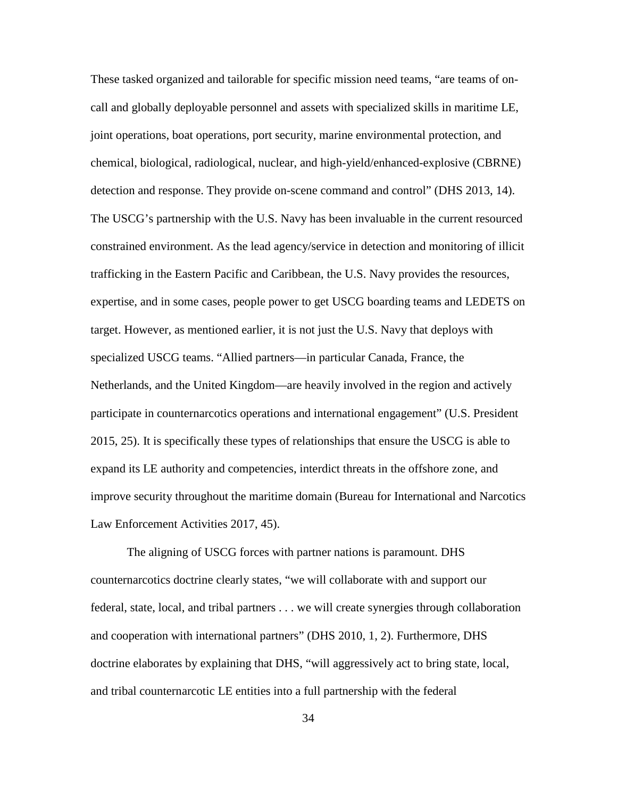These tasked organized and tailorable for specific mission need teams, "are teams of oncall and globally deployable personnel and assets with specialized skills in maritime LE, joint operations, boat operations, port security, marine environmental protection, and chemical, biological, radiological, nuclear, and high-yield/enhanced-explosive (CBRNE) detection and response. They provide on-scene command and control" (DHS 2013, 14). The USCG's partnership with the U.S. Navy has been invaluable in the current resourced constrained environment. As the lead agency/service in detection and monitoring of illicit trafficking in the Eastern Pacific and Caribbean, the U.S. Navy provides the resources, expertise, and in some cases, people power to get USCG boarding teams and LEDETS on target. However, as mentioned earlier, it is not just the U.S. Navy that deploys with specialized USCG teams. "Allied partners—in particular Canada, France, the Netherlands, and the United Kingdom—are heavily involved in the region and actively participate in counternarcotics operations and international engagement" (U.S. President 2015, 25). It is specifically these types of relationships that ensure the USCG is able to expand its LE authority and competencies, interdict threats in the offshore zone, and improve security throughout the maritime domain (Bureau for International and Narcotics Law Enforcement Activities 2017, 45).

The aligning of USCG forces with partner nations is paramount. DHS counternarcotics doctrine clearly states, "we will collaborate with and support our federal, state, local, and tribal partners . . . we will create synergies through collaboration and cooperation with international partners" (DHS 2010, 1, 2). Furthermore, DHS doctrine elaborates by explaining that DHS, "will aggressively act to bring state, local, and tribal counternarcotic LE entities into a full partnership with the federal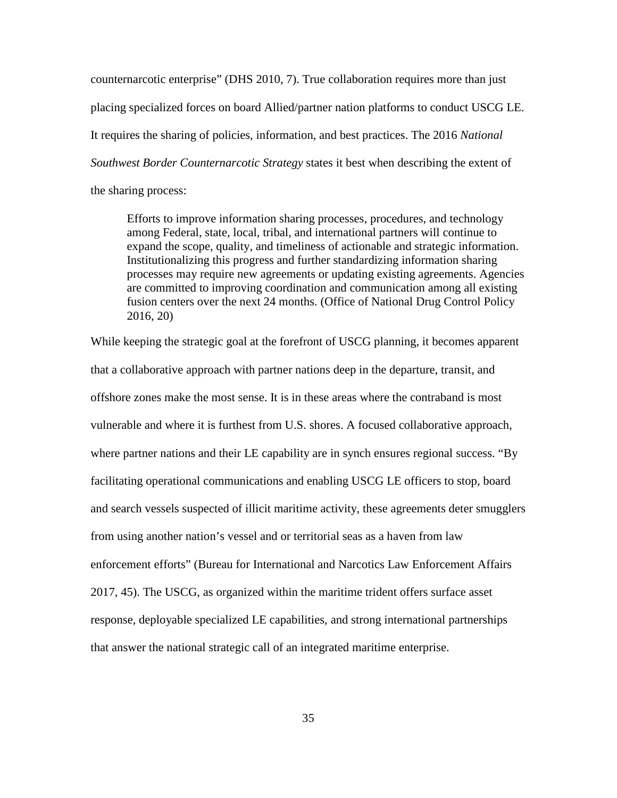counternarcotic enterprise" (DHS 2010, 7). True collaboration requires more than just placing specialized forces on board Allied/partner nation platforms to conduct USCG LE. It requires the sharing of policies, information, and best practices. The 2016 *National Southwest Border Counternarcotic Strategy* states it best when describing the extent of the sharing process:

Efforts to improve information sharing processes, procedures, and technology among Federal, state, local, tribal, and international partners will continue to expand the scope, quality, and timeliness of actionable and strategic information. Institutionalizing this progress and further standardizing information sharing processes may require new agreements or updating existing agreements. Agencies are committed to improving coordination and communication among all existing fusion centers over the next 24 months. (Office of National Drug Control Policy 2016, 20)

While keeping the strategic goal at the forefront of USCG planning, it becomes apparent that a collaborative approach with partner nations deep in the departure, transit, and offshore zones make the most sense. It is in these areas where the contraband is most vulnerable and where it is furthest from U.S. shores. A focused collaborative approach, where partner nations and their LE capability are in synch ensures regional success. "By facilitating operational communications and enabling USCG LE officers to stop, board and search vessels suspected of illicit maritime activity, these agreements deter smugglers from using another nation's vessel and or territorial seas as a haven from law enforcement efforts" (Bureau for International and Narcotics Law Enforcement Affairs 2017, 45). The USCG, as organized within the maritime trident offers surface asset response, deployable specialized LE capabilities, and strong international partnerships that answer the national strategic call of an integrated maritime enterprise.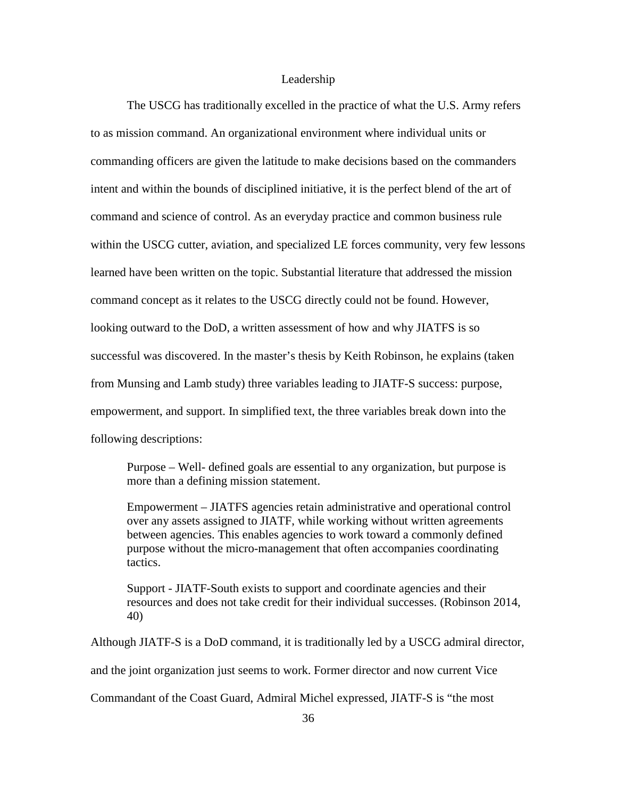## Leadership

The USCG has traditionally excelled in the practice of what the U.S. Army refers to as mission command. An organizational environment where individual units or commanding officers are given the latitude to make decisions based on the commanders intent and within the bounds of disciplined initiative, it is the perfect blend of the art of command and science of control. As an everyday practice and common business rule within the USCG cutter, aviation, and specialized LE forces community, very few lessons learned have been written on the topic. Substantial literature that addressed the mission command concept as it relates to the USCG directly could not be found. However, looking outward to the DoD, a written assessment of how and why JIATFS is so successful was discovered. In the master's thesis by Keith Robinson, he explains (taken from Munsing and Lamb study) three variables leading to JIATF-S success: purpose, empowerment, and support. In simplified text, the three variables break down into the following descriptions:

Purpose – Well- defined goals are essential to any organization, but purpose is more than a defining mission statement.

Empowerment – JIATFS agencies retain administrative and operational control over any assets assigned to JIATF, while working without written agreements between agencies. This enables agencies to work toward a commonly defined purpose without the micro-management that often accompanies coordinating tactics.

Support - JIATF-South exists to support and coordinate agencies and their resources and does not take credit for their individual successes. (Robinson 2014, 40)

Although JIATF-S is a DoD command, it is traditionally led by a USCG admiral director, and the joint organization just seems to work. Former director and now current Vice

Commandant of the Coast Guard, Admiral Michel expressed, JIATF-S is "the most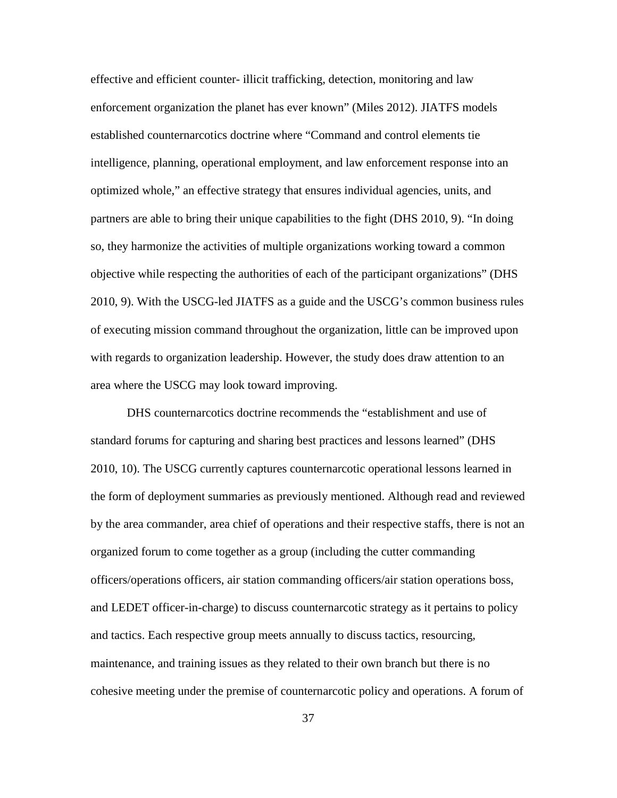effective and efficient counter- illicit trafficking, detection, monitoring and law enforcement organization the planet has ever known" (Miles 2012). JIATFS models established counternarcotics doctrine where "Command and control elements tie intelligence, planning, operational employment, and law enforcement response into an optimized whole," an effective strategy that ensures individual agencies, units, and partners are able to bring their unique capabilities to the fight (DHS 2010, 9). "In doing so, they harmonize the activities of multiple organizations working toward a common objective while respecting the authorities of each of the participant organizations" (DHS 2010, 9). With the USCG-led JIATFS as a guide and the USCG's common business rules of executing mission command throughout the organization, little can be improved upon with regards to organization leadership. However, the study does draw attention to an area where the USCG may look toward improving.

DHS counternarcotics doctrine recommends the "establishment and use of standard forums for capturing and sharing best practices and lessons learned" (DHS 2010, 10). The USCG currently captures counternarcotic operational lessons learned in the form of deployment summaries as previously mentioned. Although read and reviewed by the area commander, area chief of operations and their respective staffs, there is not an organized forum to come together as a group (including the cutter commanding officers/operations officers, air station commanding officers/air station operations boss, and LEDET officer-in-charge) to discuss counternarcotic strategy as it pertains to policy and tactics. Each respective group meets annually to discuss tactics, resourcing, maintenance, and training issues as they related to their own branch but there is no cohesive meeting under the premise of counternarcotic policy and operations. A forum of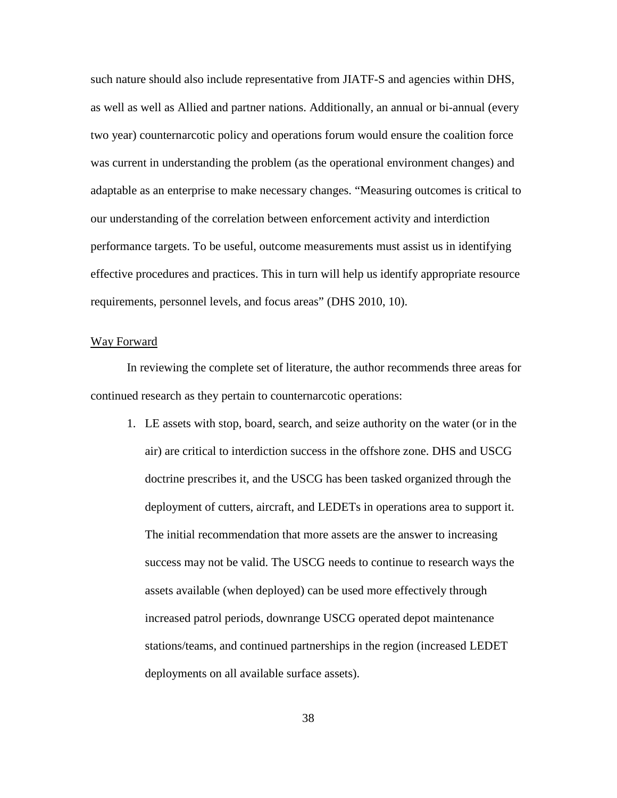such nature should also include representative from JIATF-S and agencies within DHS, as well as well as Allied and partner nations. Additionally, an annual or bi-annual (every two year) counternarcotic policy and operations forum would ensure the coalition force was current in understanding the problem (as the operational environment changes) and adaptable as an enterprise to make necessary changes. "Measuring outcomes is critical to our understanding of the correlation between enforcement activity and interdiction performance targets. To be useful, outcome measurements must assist us in identifying effective procedures and practices. This in turn will help us identify appropriate resource requirements, personnel levels, and focus areas" (DHS 2010, 10).

#### Way Forward

In reviewing the complete set of literature, the author recommends three areas for continued research as they pertain to counternarcotic operations:

1. LE assets with stop, board, search, and seize authority on the water (or in the air) are critical to interdiction success in the offshore zone. DHS and USCG doctrine prescribes it, and the USCG has been tasked organized through the deployment of cutters, aircraft, and LEDETs in operations area to support it. The initial recommendation that more assets are the answer to increasing success may not be valid. The USCG needs to continue to research ways the assets available (when deployed) can be used more effectively through increased patrol periods, downrange USCG operated depot maintenance stations/teams, and continued partnerships in the region (increased LEDET deployments on all available surface assets).

38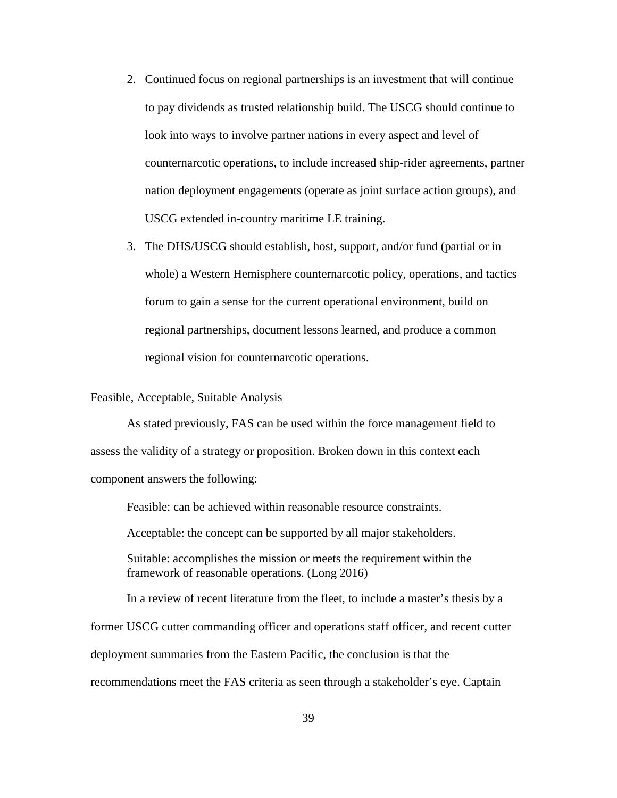- 2. Continued focus on regional partnerships is an investment that will continue to pay dividends as trusted relationship build. The USCG should continue to look into ways to involve partner nations in every aspect and level of counternarcotic operations, to include increased ship-rider agreements, partner nation deployment engagements (operate as joint surface action groups), and USCG extended in-country maritime LE training.
- 3. The DHS/USCG should establish, host, support, and/or fund (partial or in whole) a Western Hemisphere counternarcotic policy, operations, and tactics forum to gain a sense for the current operational environment, build on regional partnerships, document lessons learned, and produce a common regional vision for counternarcotic operations.

### Feasible, Acceptable, Suitable Analysis

As stated previously, FAS can be used within the force management field to assess the validity of a strategy or proposition. Broken down in this context each component answers the following:

Feasible: can be achieved within reasonable resource constraints.

Acceptable: the concept can be supported by all major stakeholders.

Suitable: accomplishes the mission or meets the requirement within the framework of reasonable operations. (Long 2016)

In a review of recent literature from the fleet, to include a master's thesis by a former USCG cutter commanding officer and operations staff officer, and recent cutter deployment summaries from the Eastern Pacific, the conclusion is that the recommendations meet the FAS criteria as seen through a stakeholder's eye. Captain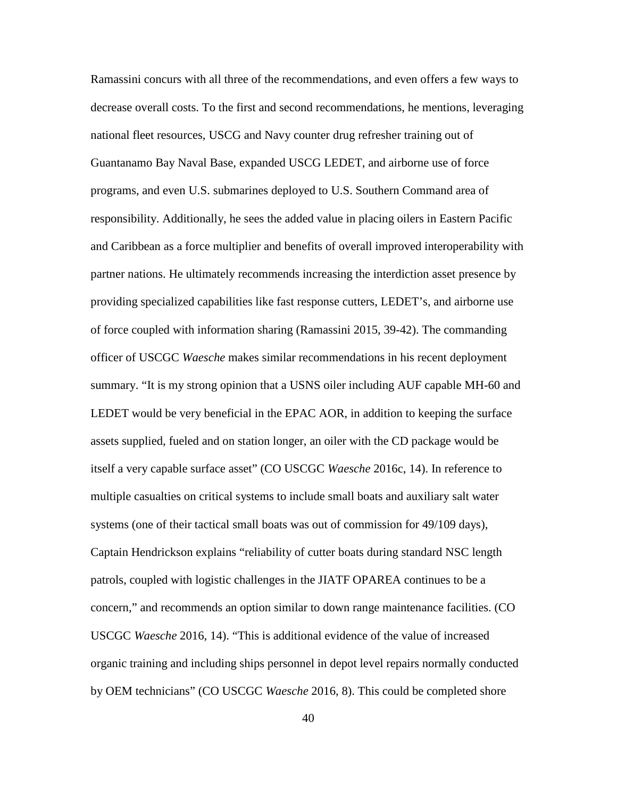Ramassini concurs with all three of the recommendations, and even offers a few ways to decrease overall costs. To the first and second recommendations, he mentions, leveraging national fleet resources, USCG and Navy counter drug refresher training out of Guantanamo Bay Naval Base, expanded USCG LEDET, and airborne use of force programs, and even U.S. submarines deployed to U.S. Southern Command area of responsibility. Additionally, he sees the added value in placing oilers in Eastern Pacific and Caribbean as a force multiplier and benefits of overall improved interoperability with partner nations. He ultimately recommends increasing the interdiction asset presence by providing specialized capabilities like fast response cutters, LEDET's, and airborne use of force coupled with information sharing (Ramassini 2015, 39-42). The commanding officer of USCGC *Waesche* makes similar recommendations in his recent deployment summary. "It is my strong opinion that a USNS oiler including AUF capable MH-60 and LEDET would be very beneficial in the EPAC AOR, in addition to keeping the surface assets supplied, fueled and on station longer, an oiler with the CD package would be itself a very capable surface asset" (CO USCGC *Waesche* 2016c, 14). In reference to multiple casualties on critical systems to include small boats and auxiliary salt water systems (one of their tactical small boats was out of commission for 49/109 days), Captain Hendrickson explains "reliability of cutter boats during standard NSC length patrols, coupled with logistic challenges in the JIATF OPAREA continues to be a concern," and recommends an option similar to down range maintenance facilities. (CO USCGC *Waesche* 2016, 14). "This is additional evidence of the value of increased organic training and including ships personnel in depot level repairs normally conducted by OEM technicians" (CO USCGC *Waesche* 2016, 8). This could be completed shore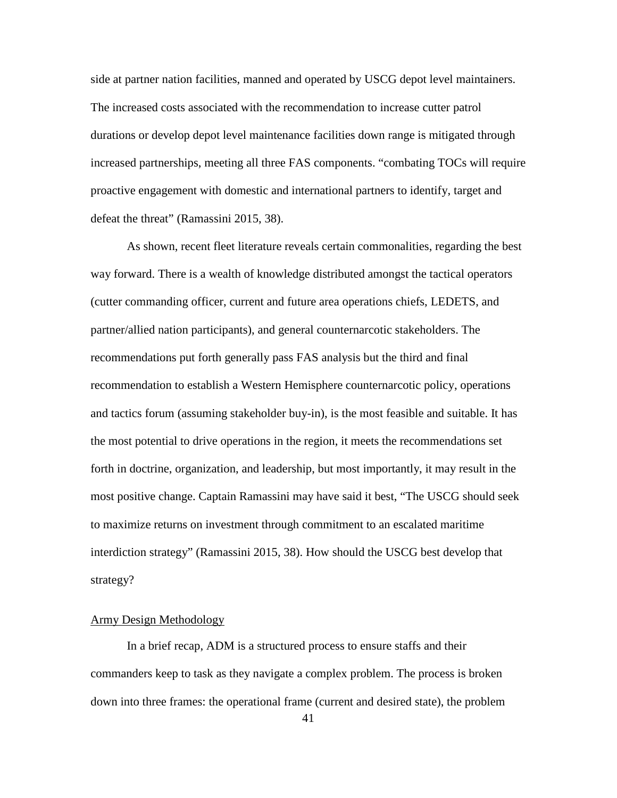side at partner nation facilities, manned and operated by USCG depot level maintainers. The increased costs associated with the recommendation to increase cutter patrol durations or develop depot level maintenance facilities down range is mitigated through increased partnerships, meeting all three FAS components. "combating TOCs will require proactive engagement with domestic and international partners to identify, target and defeat the threat" (Ramassini 2015, 38).

As shown, recent fleet literature reveals certain commonalities, regarding the best way forward. There is a wealth of knowledge distributed amongst the tactical operators (cutter commanding officer, current and future area operations chiefs, LEDETS, and partner/allied nation participants), and general counternarcotic stakeholders. The recommendations put forth generally pass FAS analysis but the third and final recommendation to establish a Western Hemisphere counternarcotic policy, operations and tactics forum (assuming stakeholder buy-in), is the most feasible and suitable. It has the most potential to drive operations in the region, it meets the recommendations set forth in doctrine, organization, and leadership, but most importantly, it may result in the most positive change. Captain Ramassini may have said it best, "The USCG should seek to maximize returns on investment through commitment to an escalated maritime interdiction strategy" (Ramassini 2015, 38). How should the USCG best develop that strategy?

## Army Design Methodology

In a brief recap, ADM is a structured process to ensure staffs and their commanders keep to task as they navigate a complex problem. The process is broken down into three frames: the operational frame (current and desired state), the problem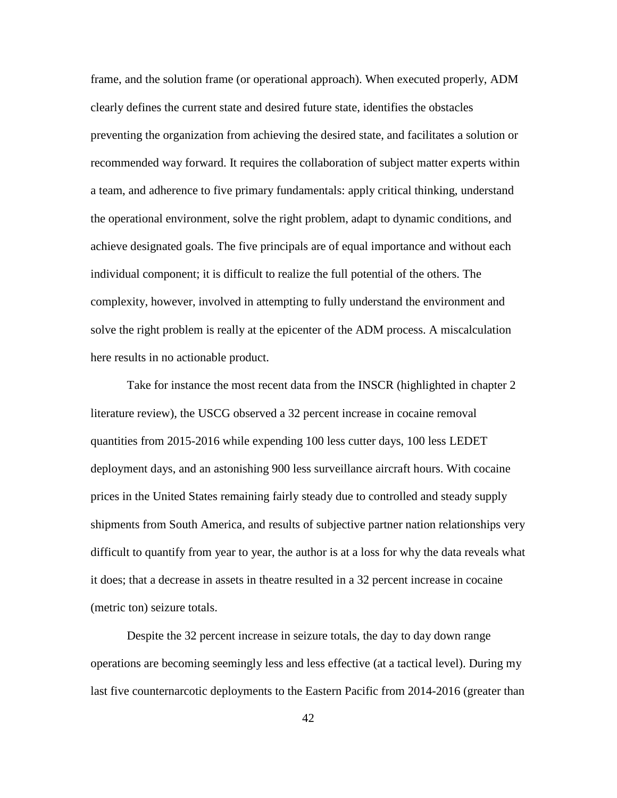frame, and the solution frame (or operational approach). When executed properly, ADM clearly defines the current state and desired future state, identifies the obstacles preventing the organization from achieving the desired state, and facilitates a solution or recommended way forward. It requires the collaboration of subject matter experts within a team, and adherence to five primary fundamentals: apply critical thinking, understand the operational environment, solve the right problem, adapt to dynamic conditions, and achieve designated goals. The five principals are of equal importance and without each individual component; it is difficult to realize the full potential of the others. The complexity, however, involved in attempting to fully understand the environment and solve the right problem is really at the epicenter of the ADM process. A miscalculation here results in no actionable product.

Take for instance the most recent data from the INSCR (highlighted in chapter 2 literature review), the USCG observed a 32 percent increase in cocaine removal quantities from 2015-2016 while expending 100 less cutter days, 100 less LEDET deployment days, and an astonishing 900 less surveillance aircraft hours. With cocaine prices in the United States remaining fairly steady due to controlled and steady supply shipments from South America, and results of subjective partner nation relationships very difficult to quantify from year to year, the author is at a loss for why the data reveals what it does; that a decrease in assets in theatre resulted in a 32 percent increase in cocaine (metric ton) seizure totals.

Despite the 32 percent increase in seizure totals, the day to day down range operations are becoming seemingly less and less effective (at a tactical level). During my last five counternarcotic deployments to the Eastern Pacific from 2014-2016 (greater than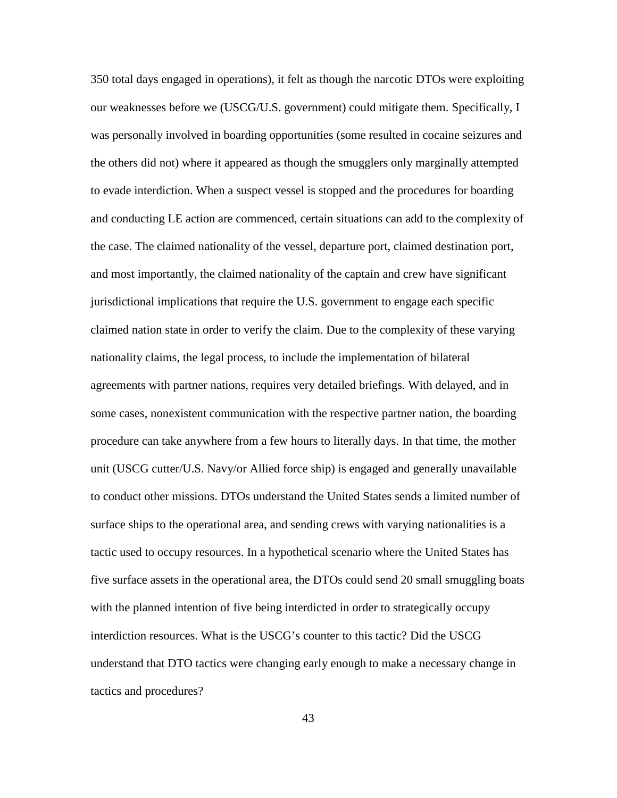350 total days engaged in operations), it felt as though the narcotic DTOs were exploiting our weaknesses before we (USCG/U.S. government) could mitigate them. Specifically, I was personally involved in boarding opportunities (some resulted in cocaine seizures and the others did not) where it appeared as though the smugglers only marginally attempted to evade interdiction. When a suspect vessel is stopped and the procedures for boarding and conducting LE action are commenced, certain situations can add to the complexity of the case. The claimed nationality of the vessel, departure port, claimed destination port, and most importantly, the claimed nationality of the captain and crew have significant jurisdictional implications that require the U.S. government to engage each specific claimed nation state in order to verify the claim. Due to the complexity of these varying nationality claims, the legal process, to include the implementation of bilateral agreements with partner nations, requires very detailed briefings. With delayed, and in some cases, nonexistent communication with the respective partner nation, the boarding procedure can take anywhere from a few hours to literally days. In that time, the mother unit (USCG cutter/U.S. Navy/or Allied force ship) is engaged and generally unavailable to conduct other missions. DTOs understand the United States sends a limited number of surface ships to the operational area, and sending crews with varying nationalities is a tactic used to occupy resources. In a hypothetical scenario where the United States has five surface assets in the operational area, the DTOs could send 20 small smuggling boats with the planned intention of five being interdicted in order to strategically occupy interdiction resources. What is the USCG's counter to this tactic? Did the USCG understand that DTO tactics were changing early enough to make a necessary change in tactics and procedures?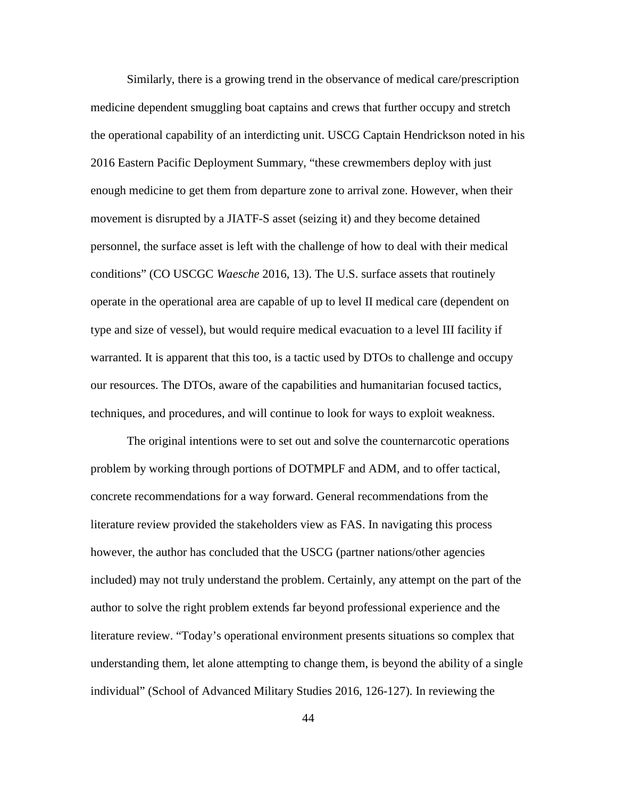Similarly, there is a growing trend in the observance of medical care/prescription medicine dependent smuggling boat captains and crews that further occupy and stretch the operational capability of an interdicting unit. USCG Captain Hendrickson noted in his 2016 Eastern Pacific Deployment Summary, "these crewmembers deploy with just enough medicine to get them from departure zone to arrival zone. However, when their movement is disrupted by a JIATF-S asset (seizing it) and they become detained personnel, the surface asset is left with the challenge of how to deal with their medical conditions" (CO USCGC *Waesche* 2016, 13). The U.S. surface assets that routinely operate in the operational area are capable of up to level II medical care (dependent on type and size of vessel), but would require medical evacuation to a level III facility if warranted. It is apparent that this too, is a tactic used by DTOs to challenge and occupy our resources. The DTOs, aware of the capabilities and humanitarian focused tactics, techniques, and procedures, and will continue to look for ways to exploit weakness.

The original intentions were to set out and solve the counternarcotic operations problem by working through portions of DOTMPLF and ADM, and to offer tactical, concrete recommendations for a way forward. General recommendations from the literature review provided the stakeholders view as FAS. In navigating this process however, the author has concluded that the USCG (partner nations/other agencies included) may not truly understand the problem. Certainly, any attempt on the part of the author to solve the right problem extends far beyond professional experience and the literature review. "Today's operational environment presents situations so complex that understanding them, let alone attempting to change them, is beyond the ability of a single individual" (School of Advanced Military Studies 2016, 126-127). In reviewing the

44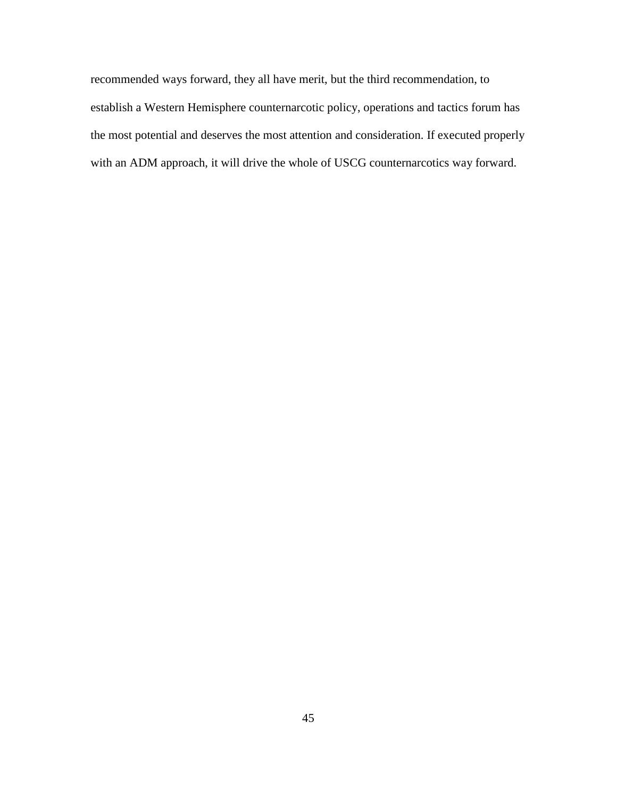recommended ways forward, they all have merit, but the third recommendation, to establish a Western Hemisphere counternarcotic policy, operations and tactics forum has the most potential and deserves the most attention and consideration. If executed properly with an ADM approach, it will drive the whole of USCG counternarcotics way forward.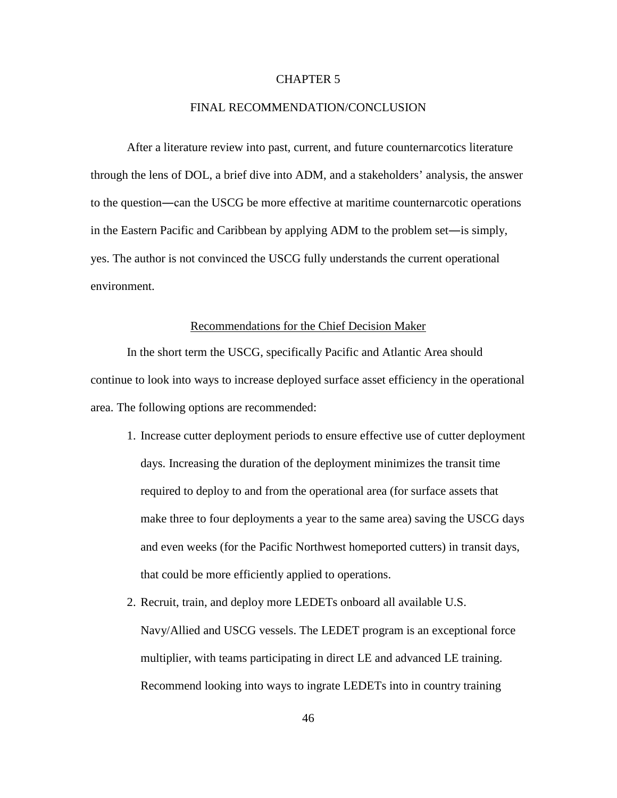## CHAPTER 5

#### FINAL RECOMMENDATION/CONCLUSION

After a literature review into past, current, and future counternarcotics literature through the lens of DOL, a brief dive into ADM, and a stakeholders' analysis, the answer to the question―can the USCG be more effective at maritime counternarcotic operations in the Eastern Pacific and Caribbean by applying ADM to the problem set―is simply, yes. The author is not convinced the USCG fully understands the current operational environment.

## Recommendations for the Chief Decision Maker

In the short term the USCG, specifically Pacific and Atlantic Area should continue to look into ways to increase deployed surface asset efficiency in the operational area. The following options are recommended:

- 1. Increase cutter deployment periods to ensure effective use of cutter deployment days. Increasing the duration of the deployment minimizes the transit time required to deploy to and from the operational area (for surface assets that make three to four deployments a year to the same area) saving the USCG days and even weeks (for the Pacific Northwest homeported cutters) in transit days, that could be more efficiently applied to operations.
- 2. Recruit, train, and deploy more LEDETs onboard all available U.S. Navy/Allied and USCG vessels. The LEDET program is an exceptional force multiplier, with teams participating in direct LE and advanced LE training. Recommend looking into ways to ingrate LEDETs into in country training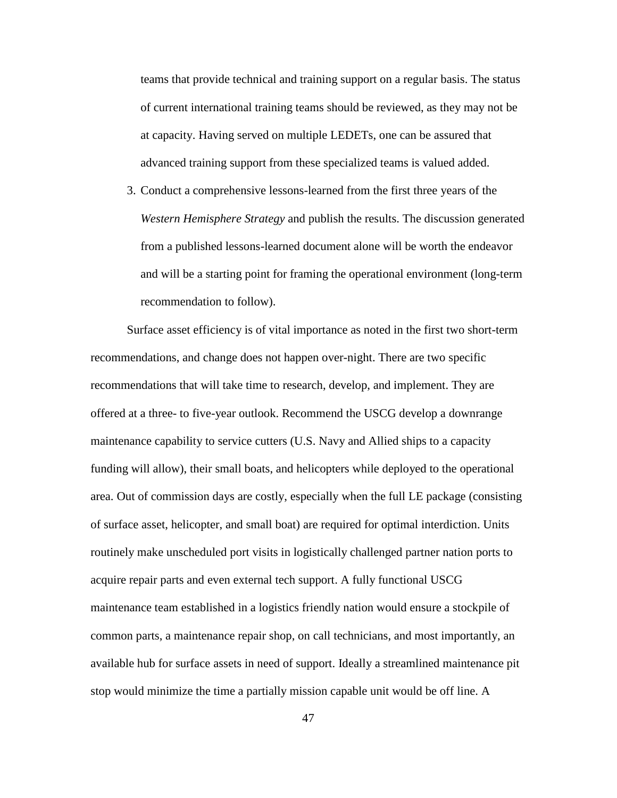teams that provide technical and training support on a regular basis. The status of current international training teams should be reviewed, as they may not be at capacity. Having served on multiple LEDETs, one can be assured that advanced training support from these specialized teams is valued added.

3. Conduct a comprehensive lessons-learned from the first three years of the *Western Hemisphere Strategy* and publish the results. The discussion generated from a published lessons-learned document alone will be worth the endeavor and will be a starting point for framing the operational environment (long-term recommendation to follow).

Surface asset efficiency is of vital importance as noted in the first two short-term recommendations, and change does not happen over-night. There are two specific recommendations that will take time to research, develop, and implement. They are offered at a three- to five-year outlook. Recommend the USCG develop a downrange maintenance capability to service cutters (U.S. Navy and Allied ships to a capacity funding will allow), their small boats, and helicopters while deployed to the operational area. Out of commission days are costly, especially when the full LE package (consisting of surface asset, helicopter, and small boat) are required for optimal interdiction. Units routinely make unscheduled port visits in logistically challenged partner nation ports to acquire repair parts and even external tech support. A fully functional USCG maintenance team established in a logistics friendly nation would ensure a stockpile of common parts, a maintenance repair shop, on call technicians, and most importantly, an available hub for surface assets in need of support. Ideally a streamlined maintenance pit stop would minimize the time a partially mission capable unit would be off line. A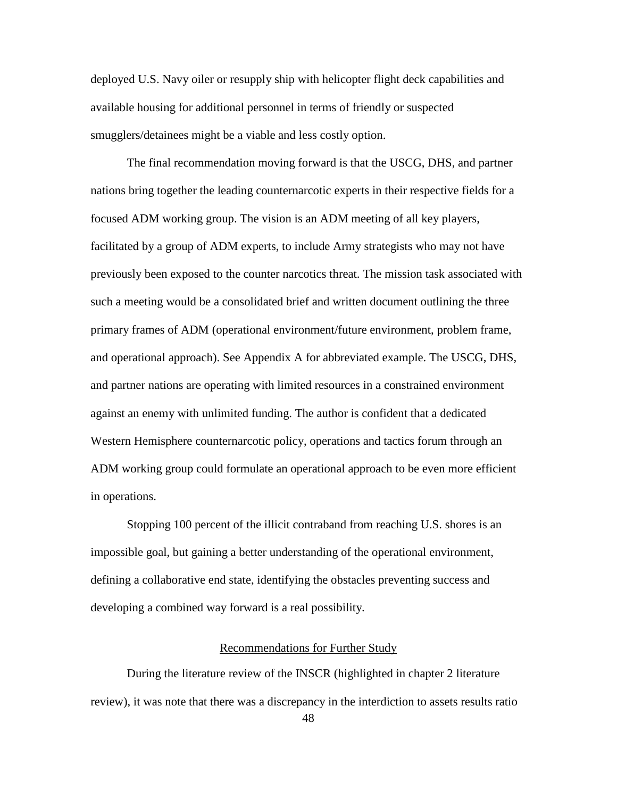deployed U.S. Navy oiler or resupply ship with helicopter flight deck capabilities and available housing for additional personnel in terms of friendly or suspected smugglers/detainees might be a viable and less costly option.

The final recommendation moving forward is that the USCG, DHS, and partner nations bring together the leading counternarcotic experts in their respective fields for a focused ADM working group. The vision is an ADM meeting of all key players, facilitated by a group of ADM experts, to include Army strategists who may not have previously been exposed to the counter narcotics threat. The mission task associated with such a meeting would be a consolidated brief and written document outlining the three primary frames of ADM (operational environment/future environment, problem frame, and operational approach). See Appendix A for abbreviated example. The USCG, DHS, and partner nations are operating with limited resources in a constrained environment against an enemy with unlimited funding. The author is confident that a dedicated Western Hemisphere counternarcotic policy, operations and tactics forum through an ADM working group could formulate an operational approach to be even more efficient in operations.

Stopping 100 percent of the illicit contraband from reaching U.S. shores is an impossible goal, but gaining a better understanding of the operational environment, defining a collaborative end state, identifying the obstacles preventing success and developing a combined way forward is a real possibility.

### Recommendations for Further Study

During the literature review of the INSCR (highlighted in chapter 2 literature review), it was note that there was a discrepancy in the interdiction to assets results ratio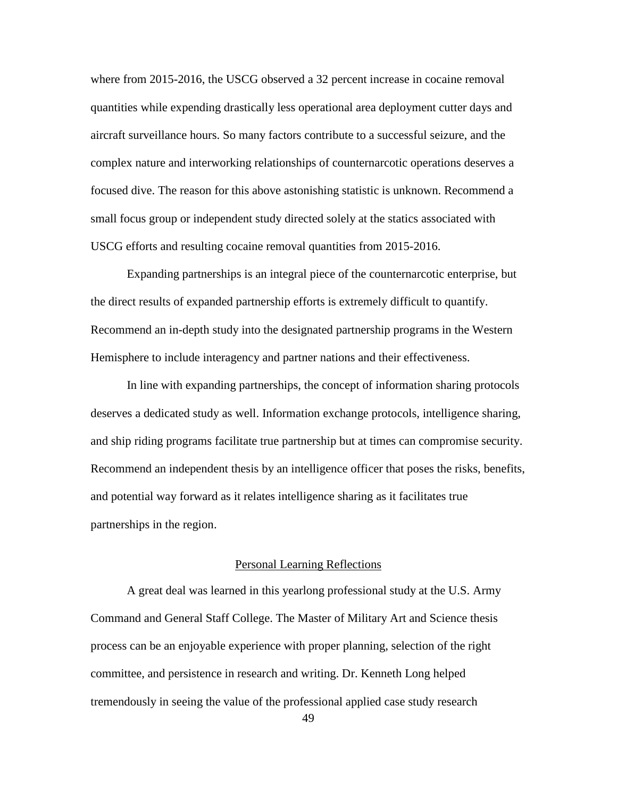where from 2015-2016, the USCG observed a 32 percent increase in cocaine removal quantities while expending drastically less operational area deployment cutter days and aircraft surveillance hours. So many factors contribute to a successful seizure, and the complex nature and interworking relationships of counternarcotic operations deserves a focused dive. The reason for this above astonishing statistic is unknown. Recommend a small focus group or independent study directed solely at the statics associated with USCG efforts and resulting cocaine removal quantities from 2015-2016.

Expanding partnerships is an integral piece of the counternarcotic enterprise, but the direct results of expanded partnership efforts is extremely difficult to quantify. Recommend an in-depth study into the designated partnership programs in the Western Hemisphere to include interagency and partner nations and their effectiveness.

In line with expanding partnerships, the concept of information sharing protocols deserves a dedicated study as well. Information exchange protocols, intelligence sharing, and ship riding programs facilitate true partnership but at times can compromise security. Recommend an independent thesis by an intelligence officer that poses the risks, benefits, and potential way forward as it relates intelligence sharing as it facilitates true partnerships in the region.

## Personal Learning Reflections

A great deal was learned in this yearlong professional study at the U.S. Army Command and General Staff College. The Master of Military Art and Science thesis process can be an enjoyable experience with proper planning, selection of the right committee, and persistence in research and writing. Dr. Kenneth Long helped tremendously in seeing the value of the professional applied case study research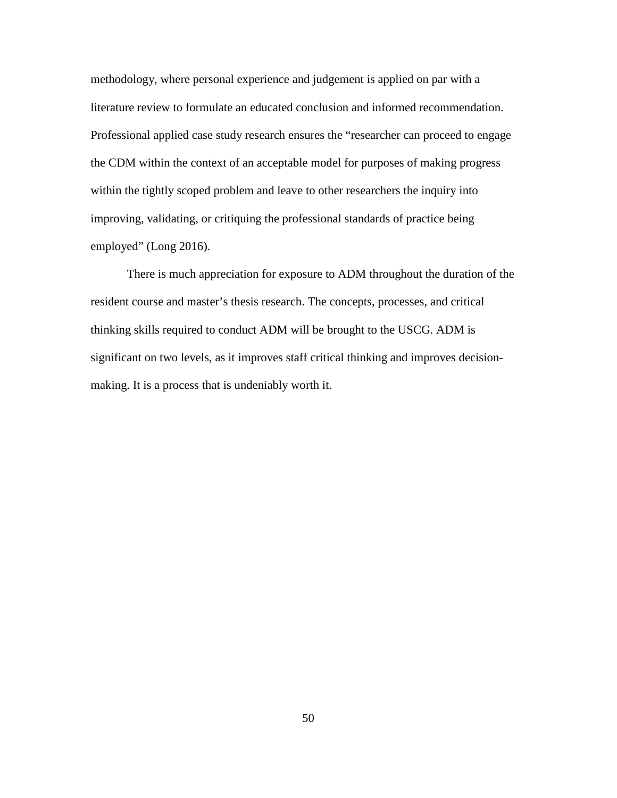methodology, where personal experience and judgement is applied on par with a literature review to formulate an educated conclusion and informed recommendation. Professional applied case study research ensures the "researcher can proceed to engage the CDM within the context of an acceptable model for purposes of making progress within the tightly scoped problem and leave to other researchers the inquiry into improving, validating, or critiquing the professional standards of practice being employed" (Long 2016).

There is much appreciation for exposure to ADM throughout the duration of the resident course and master's thesis research. The concepts, processes, and critical thinking skills required to conduct ADM will be brought to the USCG. ADM is significant on two levels, as it improves staff critical thinking and improves decisionmaking. It is a process that is undeniably worth it.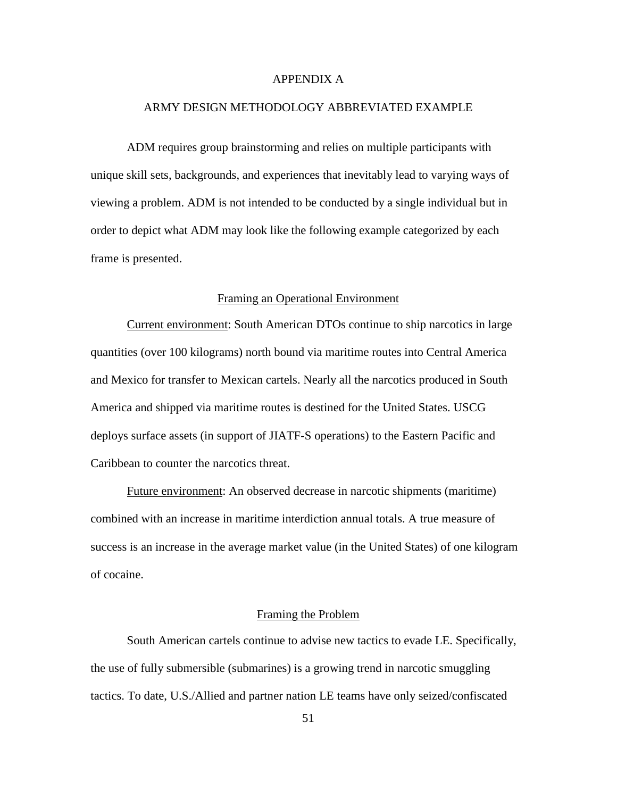## APPENDIX A

#### ARMY DESIGN METHODOLOGY ABBREVIATED EXAMPLE

ADM requires group brainstorming and relies on multiple participants with unique skill sets, backgrounds, and experiences that inevitably lead to varying ways of viewing a problem. ADM is not intended to be conducted by a single individual but in order to depict what ADM may look like the following example categorized by each frame is presented.

## Framing an Operational Environment

Current environment: South American DTOs continue to ship narcotics in large quantities (over 100 kilograms) north bound via maritime routes into Central America and Mexico for transfer to Mexican cartels. Nearly all the narcotics produced in South America and shipped via maritime routes is destined for the United States. USCG deploys surface assets (in support of JIATF-S operations) to the Eastern Pacific and Caribbean to counter the narcotics threat.

Future environment: An observed decrease in narcotic shipments (maritime) combined with an increase in maritime interdiction annual totals. A true measure of success is an increase in the average market value (in the United States) of one kilogram of cocaine.

## Framing the Problem

South American cartels continue to advise new tactics to evade LE. Specifically, the use of fully submersible (submarines) is a growing trend in narcotic smuggling tactics. To date, U.S./Allied and partner nation LE teams have only seized/confiscated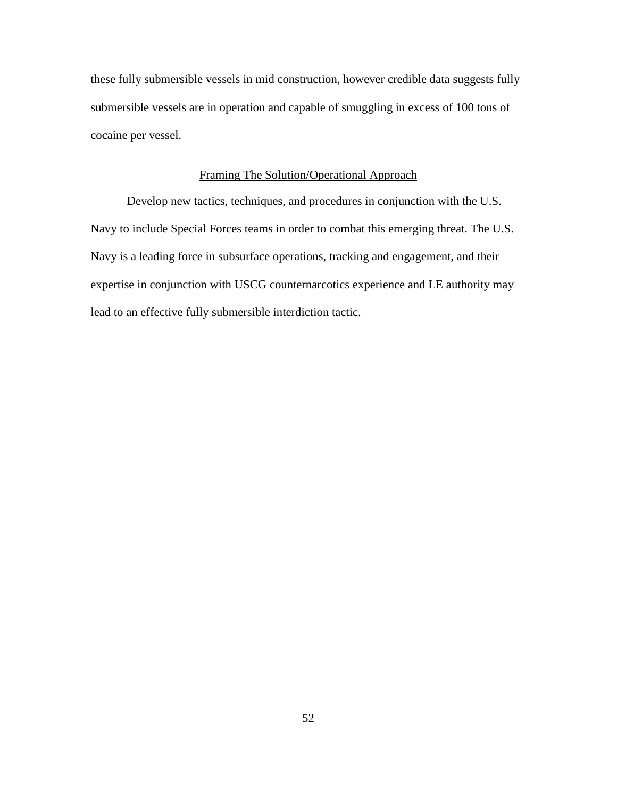these fully submersible vessels in mid construction, however credible data suggests fully submersible vessels are in operation and capable of smuggling in excess of 100 tons of cocaine per vessel.

## Framing The Solution/Operational Approach

Develop new tactics, techniques, and procedures in conjunction with the U.S. Navy to include Special Forces teams in order to combat this emerging threat. The U.S. Navy is a leading force in subsurface operations, tracking and engagement, and their expertise in conjunction with USCG counternarcotics experience and LE authority may lead to an effective fully submersible interdiction tactic.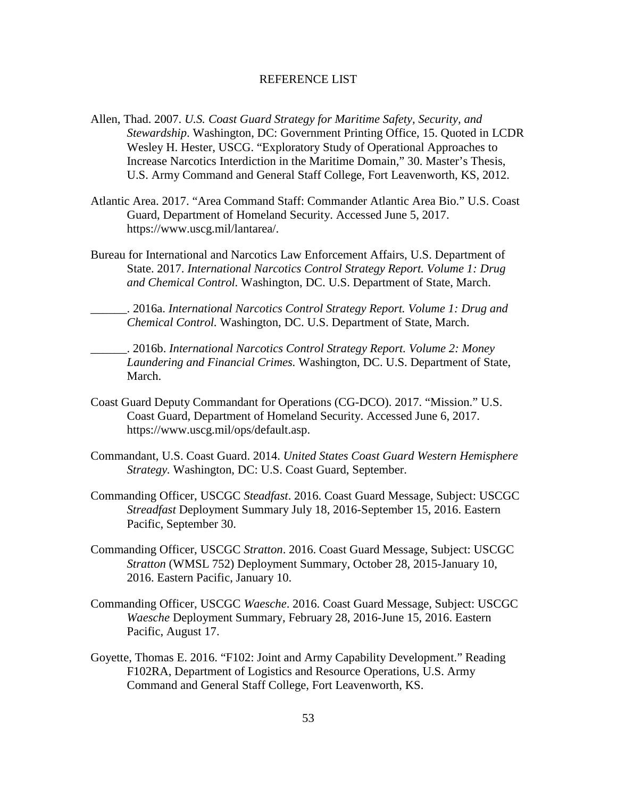#### REFERENCE LIST

- Allen, Thad. 2007. *U.S. Coast Guard Strategy for Maritime Safety, Security, and Stewardship*. Washington, DC: Government Printing Office, 15. Quoted in LCDR Wesley H. Hester, USCG. "Exploratory Study of Operational Approaches to Increase Narcotics Interdiction in the Maritime Domain," 30. Master's Thesis, U.S. Army Command and General Staff College, Fort Leavenworth, KS, 2012.
- Atlantic Area. 2017. "Area Command Staff: Commander Atlantic Area Bio." U.S. Coast Guard, Department of Homeland Security. Accessed June 5, 2017. https://www.uscg.mil/lantarea/.
- Bureau for International and Narcotics Law Enforcement Affairs, U.S. Department of State. 2017. *International Narcotics Control Strategy Report. Volume 1: Drug and Chemical Control.* Washington, DC. U.S. Department of State, March.

\_\_\_\_\_\_. 2016a. *International Narcotics Control Strategy Report. Volume 1: Drug and Chemical Control.* Washington, DC. U.S. Department of State, March.

\_\_\_\_\_\_. 2016b. *International Narcotics Control Strategy Report. Volume 2: Money Laundering and Financial Crimes.* Washington, DC. U.S. Department of State, March.

- Coast Guard Deputy Commandant for Operations (CG-DCO). 2017. "Mission." U.S. Coast Guard, Department of Homeland Security. Accessed June 6, 2017. https://www.uscg.mil/ops/default.asp.
- Commandant, U.S. Coast Guard. 2014. *United States Coast Guard Western Hemisphere Strategy.* Washington, DC: U.S. Coast Guard, September.
- Commanding Officer, USCGC *Steadfast*. 2016. Coast Guard Message, Subject: USCGC *Streadfast* Deployment Summary July 18, 2016-September 15, 2016. Eastern Pacific, September 30.
- Commanding Officer, USCGC *Stratton*. 2016. Coast Guard Message, Subject: USCGC *Stratton* (WMSL 752) Deployment Summary, October 28, 2015-January 10, 2016. Eastern Pacific, January 10.
- Commanding Officer, USCGC *Waesche*. 2016. Coast Guard Message, Subject: USCGC *Waesche* Deployment Summary, February 28, 2016-June 15, 2016. Eastern Pacific, August 17.
- Goyette, Thomas E. 2016. "F102: Joint and Army Capability Development." Reading F102RA, Department of Logistics and Resource Operations, U.S. Army Command and General Staff College, Fort Leavenworth, KS.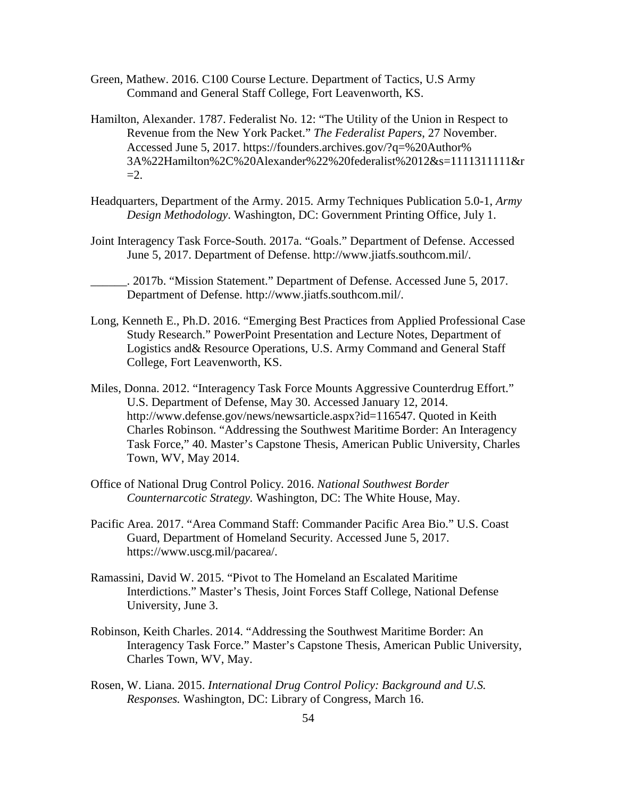- Green, Mathew. 2016. C100 Course Lecture. Department of Tactics, U.S Army Command and General Staff College, Fort Leavenworth, KS.
- Hamilton, Alexander. 1787. Federalist No. 12: "The Utility of the Union in Respect to Revenue from the New York Packet." *The Federalist Papers*, 27 November. Accessed June 5, 2017. https://founders.archives.gov/?q=%20Author% 3A%22Hamilton%2C%20Alexander%22%20federalist%2012&s=1111311111&r  $=2$ .
- Headquarters, Department of the Army. 2015. Army Techniques Publication 5.0-1, *Army Design Methodology*. Washington, DC: Government Printing Office, July 1.
- Joint Interagency Task Force-South. 2017a. "Goals." Department of Defense. Accessed June 5, 2017. Department of Defense. http://www.jiatfs.southcom.mil/.
- \_\_\_\_\_\_. 2017b. "Mission Statement." Department of Defense. Accessed June 5, 2017. Department of Defense. http://www.jiatfs.southcom.mil/.
- Long, Kenneth E., Ph.D. 2016. "Emerging Best Practices from Applied Professional Case Study Research." PowerPoint Presentation and Lecture Notes, Department of Logistics and& Resource Operations, U.S. Army Command and General Staff College, Fort Leavenworth, KS.
- Miles, Donna. 2012. "Interagency Task Force Mounts Aggressive Counterdrug Effort." U.S. Department of Defense, May 30. Accessed January 12, 2014. http://www.defense.gov/news/newsarticle.aspx?id=116547. Quoted in Keith Charles Robinson. "Addressing the Southwest Maritime Border: An Interagency Task Force," 40. Master's Capstone Thesis, American Public University, Charles Town, WV, May 2014.
- Office of National Drug Control Policy. 2016. *National Southwest Border Counternarcotic Strategy.* Washington, DC: The White House, May.
- Pacific Area. 2017. "Area Command Staff: Commander Pacific Area Bio." U.S. Coast Guard, Department of Homeland Security. Accessed June 5, 2017. https://www.uscg.mil/pacarea/.
- Ramassini, David W. 2015. "Pivot to The Homeland an Escalated Maritime Interdictions." Master's Thesis, Joint Forces Staff College, National Defense University, June 3.
- Robinson, Keith Charles. 2014. "Addressing the Southwest Maritime Border: An Interagency Task Force." Master's Capstone Thesis, American Public University, Charles Town, WV, May.
- Rosen, W. Liana. 2015. *International Drug Control Policy: Background and U.S. Responses.* Washington, DC: Library of Congress, March 16.